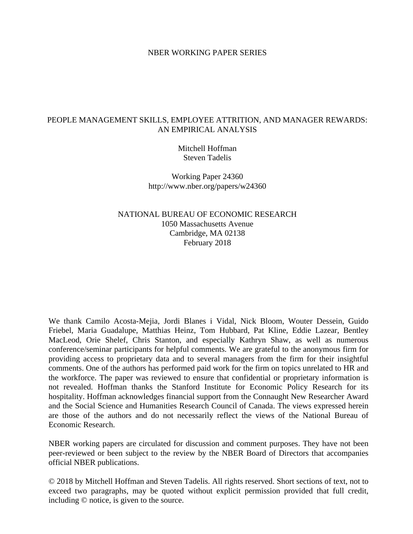#### NBER WORKING PAPER SERIES

### PEOPLE MANAGEMENT SKILLS, EMPLOYEE ATTRITION, AND MANAGER REWARDS: AN EMPIRICAL ANALYSIS

Mitchell Hoffman Steven Tadelis

Working Paper 24360 http://www.nber.org/papers/w24360

NATIONAL BUREAU OF ECONOMIC RESEARCH 1050 Massachusetts Avenue Cambridge, MA 02138 February 2018

We thank Camilo Acosta-Mejia, Jordi Blanes i Vidal, Nick Bloom, Wouter Dessein, Guido Friebel, Maria Guadalupe, Matthias Heinz, Tom Hubbard, Pat Kline, Eddie Lazear, Bentley MacLeod, Orie Shelef, Chris Stanton, and especially Kathryn Shaw, as well as numerous conference/seminar participants for helpful comments. We are grateful to the anonymous firm for providing access to proprietary data and to several managers from the firm for their insightful comments. One of the authors has performed paid work for the firm on topics unrelated to HR and the workforce. The paper was reviewed to ensure that confidential or proprietary information is not revealed. Hoffman thanks the Stanford Institute for Economic Policy Research for its hospitality. Hoffman acknowledges financial support from the Connaught New Researcher Award and the Social Science and Humanities Research Council of Canada. The views expressed herein are those of the authors and do not necessarily reflect the views of the National Bureau of Economic Research.

NBER working papers are circulated for discussion and comment purposes. They have not been peer-reviewed or been subject to the review by the NBER Board of Directors that accompanies official NBER publications.

© 2018 by Mitchell Hoffman and Steven Tadelis. All rights reserved. Short sections of text, not to exceed two paragraphs, may be quoted without explicit permission provided that full credit, including © notice, is given to the source.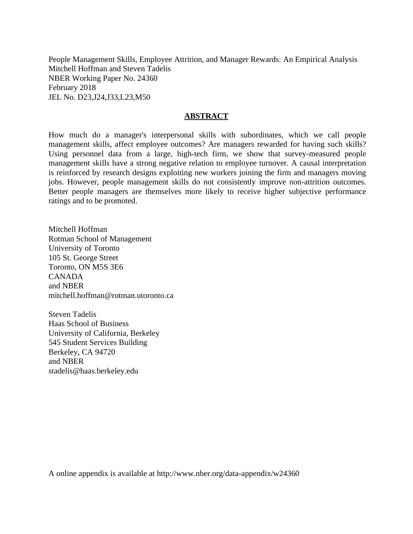People Management Skills, Employee Attrition, and Manager Rewards: An Empirical Analysis Mitchell Hoffman and Steven Tadelis NBER Working Paper No. 24360 February 2018 JEL No. D23,J24,J33,L23,M50

#### **ABSTRACT**

How much do a manager's interpersonal skills with subordinates, which we call people management skills, affect employee outcomes? Are managers rewarded for having such skills? Using personnel data from a large, high-tech firm, we show that survey-measured people management skills have a strong negative relation to employee turnover. A causal interpretation is reinforced by research designs exploiting new workers joining the firm and managers moving jobs. However, people management skills do not consistently improve non-attrition outcomes. Better people managers are themselves more likely to receive higher subjective performance ratings and to be promoted.

Mitchell Hoffman Rotman School of Management University of Toronto 105 St. George Street Toronto, ON M5S 3E6 CANADA and NBER mitchell.hoffman@rotman.utoronto.ca

Steven Tadelis Haas School of Business University of California, Berkeley 545 Student Services Building Berkeley, CA 94720 and NBER stadelis@haas.berkeley.edu

A online appendix is available at http://www.nber.org/data-appendix/w24360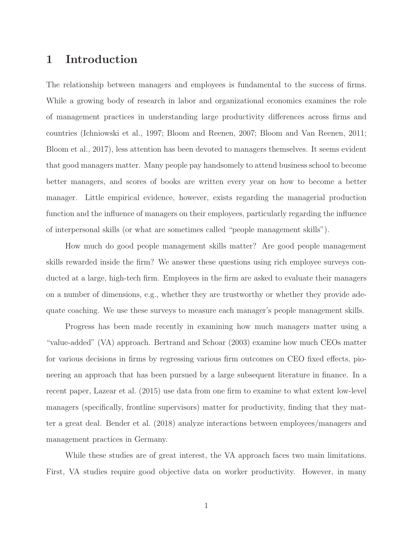## **1 Introduction**

The relationship between managers and employees is fundamental to the success of firms. While a growing body of research in labor and organizational economics examines the role of management practices in understanding large productivity differences across firms and countries (Ichniowski et al., 1997; Bloom and Reenen, 2007; Bloom and Van Reenen, 2011; Bloom et al., 2017), less attention has been devoted to managers themselves. It seems evident that good managers matter. Many people pay handsomely to attend business school to become better managers, and scores of books are written every year on how to become a better manager. Little empirical evidence, however, exists regarding the managerial production function and the influence of managers on their employees, particularly regarding the influence of interpersonal skills (or what are sometimes called "people management skills").

How much do good people management skills matter? Are good people management skills rewarded inside the firm? We answer these questions using rich employee surveys conducted at a large, high-tech firm. Employees in the firm are asked to evaluate their managers on a number of dimensions, e.g., whether they are trustworthy or whether they provide adequate coaching. We use these surveys to measure each manager's people management skills.

Progress has been made recently in examining how much managers matter using a "value-added" (VA) approach. Bertrand and Schoar (2003) examine how much CEOs matter for various decisions in firms by regressing various firm outcomes on CEO fixed effects, pioneering an approach that has been pursued by a large subsequent literature in finance. In a recent paper, Lazear et al. (2015) use data from one firm to examine to what extent low-level managers (specifically, frontline supervisors) matter for productivity, finding that they matter a great deal. Bender et al. (2018) analyze interactions between employees/managers and management practices in Germany.

While these studies are of great interest, the VA approach faces two main limitations. First, VA studies require good objective data on worker productivity. However, in many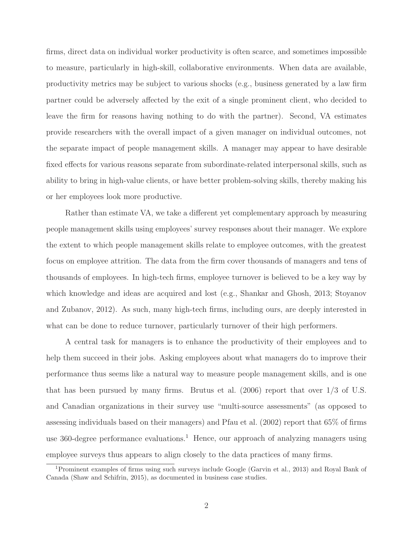firms, direct data on individual worker productivity is often scarce, and sometimes impossible to measure, particularly in high-skill, collaborative environments. When data are available, productivity metrics may be subject to various shocks (e.g., business generated by a law firm partner could be adversely affected by the exit of a single prominent client, who decided to leave the firm for reasons having nothing to do with the partner). Second, VA estimates provide researchers with the overall impact of a given manager on individual outcomes, not the separate impact of people management skills. A manager may appear to have desirable fixed effects for various reasons separate from subordinate-related interpersonal skills, such as ability to bring in high-value clients, or have better problem-solving skills, thereby making his or her employees look more productive.

Rather than estimate VA, we take a different yet complementary approach by measuring people management skills using employees' survey responses about their manager. We explore the extent to which people management skills relate to employee outcomes, with the greatest focus on employee attrition. The data from the firm cover thousands of managers and tens of thousands of employees. In high-tech firms, employee turnover is believed to be a key way by which knowledge and ideas are acquired and lost (e.g., Shankar and Ghosh, 2013; Stoyanov and Zubanov, 2012). As such, many high-tech firms, including ours, are deeply interested in what can be done to reduce turnover, particularly turnover of their high performers.

A central task for managers is to enhance the productivity of their employees and to help them succeed in their jobs. Asking employees about what managers do to improve their performance thus seems like a natural way to measure people management skills, and is one that has been pursued by many firms. Brutus et al. (2006) report that over 1/3 of U.S. and Canadian organizations in their survey use "multi-source assessments" (as opposed to assessing individuals based on their managers) and Pfau et al. (2002) report that 65% of firms use 360-degree performance evaluations.<sup>1</sup> Hence, our approach of analyzing managers using employee surveys thus appears to align closely to the data practices of many firms.

<sup>1</sup>Prominent examples of firms using such surveys include Google (Garvin et al., 2013) and Royal Bank of Canada (Shaw and Schifrin, 2015), as documented in business case studies.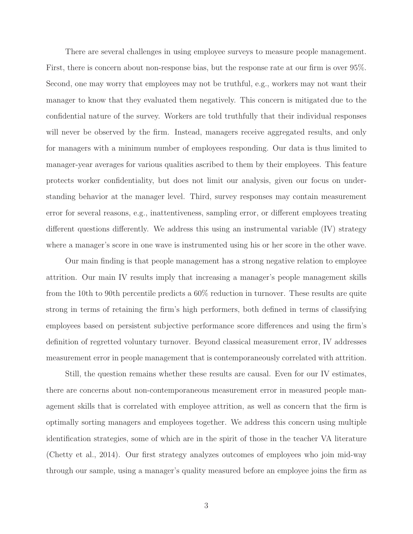There are several challenges in using employee surveys to measure people management. First, there is concern about non-response bias, but the response rate at our firm is over 95%. Second, one may worry that employees may not be truthful, e.g., workers may not want their manager to know that they evaluated them negatively. This concern is mitigated due to the confidential nature of the survey. Workers are told truthfully that their individual responses will never be observed by the firm. Instead, managers receive aggregated results, and only for managers with a minimum number of employees responding. Our data is thus limited to manager-year averages for various qualities ascribed to them by their employees. This feature protects worker confidentiality, but does not limit our analysis, given our focus on understanding behavior at the manager level. Third, survey responses may contain measurement error for several reasons, e.g., inattentiveness, sampling error, or different employees treating different questions differently. We address this using an instrumental variable (IV) strategy where a manager's score in one wave is instrumented using his or her score in the other wave.

Our main finding is that people management has a strong negative relation to employee attrition. Our main IV results imply that increasing a manager's people management skills from the 10th to 90th percentile predicts a 60% reduction in turnover. These results are quite strong in terms of retaining the firm's high performers, both defined in terms of classifying employees based on persistent subjective performance score differences and using the firm's definition of regretted voluntary turnover. Beyond classical measurement error, IV addresses measurement error in people management that is contemporaneously correlated with attrition.

Still, the question remains whether these results are causal. Even for our IV estimates, there are concerns about non-contemporaneous measurement error in measured people management skills that is correlated with employee attrition, as well as concern that the firm is optimally sorting managers and employees together. We address this concern using multiple identification strategies, some of which are in the spirit of those in the teacher VA literature (Chetty et al., 2014). Our first strategy analyzes outcomes of employees who join mid-way through our sample, using a manager's quality measured before an employee joins the firm as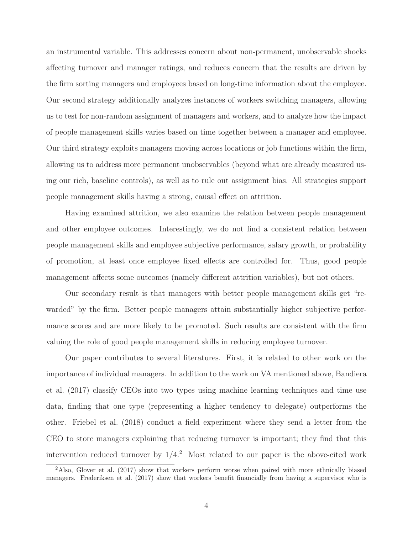an instrumental variable. This addresses concern about non-permanent, unobservable shocks affecting turnover and manager ratings, and reduces concern that the results are driven by the firm sorting managers and employees based on long-time information about the employee. Our second strategy additionally analyzes instances of workers switching managers, allowing us to test for non-random assignment of managers and workers, and to analyze how the impact of people management skills varies based on time together between a manager and employee. Our third strategy exploits managers moving across locations or job functions within the firm, allowing us to address more permanent unobservables (beyond what are already measured using our rich, baseline controls), as well as to rule out assignment bias. All strategies support people management skills having a strong, causal effect on attrition.

Having examined attrition, we also examine the relation between people management and other employee outcomes. Interestingly, we do not find a consistent relation between people management skills and employee subjective performance, salary growth, or probability of promotion, at least once employee fixed effects are controlled for. Thus, good people management affects some outcomes (namely different attrition variables), but not others.

Our secondary result is that managers with better people management skills get "rewarded" by the firm. Better people managers attain substantially higher subjective performance scores and are more likely to be promoted. Such results are consistent with the firm valuing the role of good people management skills in reducing employee turnover.

Our paper contributes to several literatures. First, it is related to other work on the importance of individual managers. In addition to the work on VA mentioned above, Bandiera et al. (2017) classify CEOs into two types using machine learning techniques and time use data, finding that one type (representing a higher tendency to delegate) outperforms the other. Friebel et al. (2018) conduct a field experiment where they send a letter from the CEO to store managers explaining that reducing turnover is important; they find that this intervention reduced turnover by  $1/4$ .<sup>2</sup> Most related to our paper is the above-cited work

<sup>2</sup>Also, Glover et al. (2017) show that workers perform worse when paired with more ethnically biased managers. Frederiksen et al. (2017) show that workers benefit financially from having a supervisor who is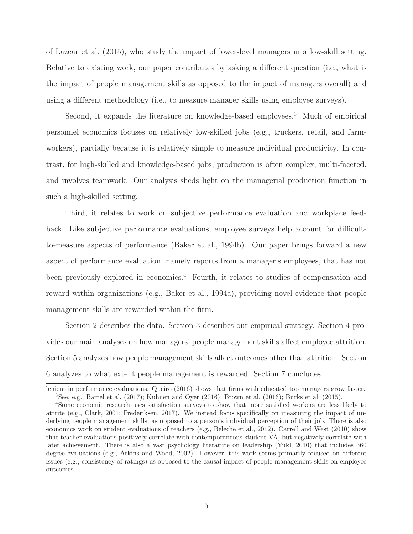of Lazear et al. (2015), who study the impact of lower-level managers in a low-skill setting. Relative to existing work, our paper contributes by asking a different question (i.e., what is the impact of people management skills as opposed to the impact of managers overall) and using a different methodology (i.e., to measure manager skills using employee surveys).

Second, it expands the literature on knowledge-based employees.<sup>3</sup> Much of empirical personnel economics focuses on relatively low-skilled jobs (e.g., truckers, retail, and farmworkers), partially because it is relatively simple to measure individual productivity. In contrast, for high-skilled and knowledge-based jobs, production is often complex, multi-faceted, and involves teamwork. Our analysis sheds light on the managerial production function in such a high-skilled setting.

Third, it relates to work on subjective performance evaluation and workplace feedback. Like subjective performance evaluations, employee surveys help account for difficultto-measure aspects of performance (Baker et al., 1994b). Our paper brings forward a new aspect of performance evaluation, namely reports from a manager's employees, that has not been previously explored in economics.<sup>4</sup> Fourth, it relates to studies of compensation and reward within organizations (e.g., Baker et al., 1994a), providing novel evidence that people management skills are rewarded within the firm.

Section 2 describes the data. Section 3 describes our empirical strategy. Section 4 provides our main analyses on how managers' people management skills affect employee attrition. Section 5 analyzes how people management skills affect outcomes other than attrition. Section 6 analyzes to what extent people management is rewarded. Section 7 concludes.

lenient in performance evaluations. Queiro (2016) shows that firms with educated top managers grow faster. <sup>3</sup>See, e.g., Bartel et al. (2017); Kuhnen and Oyer (2016); Brown et al. (2016); Burks et al. (2015).

<sup>4</sup>Some economic research uses satisfaction surveys to show that more satisfied workers are less likely to attrite (e.g., Clark, 2001; Frederiksen, 2017). We instead focus specifically on measuring the impact of underlying people management skills, as opposed to a person's individual perception of their job. There is also economics work on student evaluations of teachers (e.g., Beleche et al., 2012). Carrell and West (2010) show that teacher evaluations positively correlate with contemporaneous student VA, but negatively correlate with later achievement. There is also a vast psychology literature on leadership (Yukl, 2010) that includes 360 degree evaluations (e.g., Atkins and Wood, 2002). However, this work seems primarily focused on different issues (e.g., consistency of ratings) as opposed to the causal impact of people management skills on employee outcomes.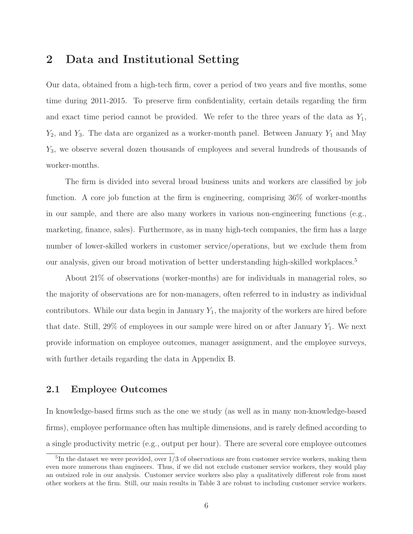## **2 Data and Institutional Setting**

Our data, obtained from a high-tech firm, cover a period of two years and five months, some time during 2011-2015. To preserve firm confidentiality, certain details regarding the firm and exact time period cannot be provided. We refer to the three years of the data as  $Y_1$ ,  $Y_2$ , and  $Y_3$ . The data are organized as a worker-month panel. Between January  $Y_1$  and May <sup>Y</sup>3, we observe several dozen thousands of employees and several hundreds of thousands of worker-months.

The firm is divided into several broad business units and workers are classified by job function. A core job function at the firm is engineering, comprising 36% of worker-months in our sample, and there are also many workers in various non-engineering functions (e.g., marketing, finance, sales). Furthermore, as in many high-tech companies, the firm has a large number of lower-skilled workers in customer service/operations, but we exclude them from our analysis, given our broad motivation of better understanding high-skilled workplaces.5

About 21% of observations (worker-months) are for individuals in managerial roles, so the majority of observations are for non-managers, often referred to in industry as individual contributors. While our data begin in January  $Y_1$ , the majority of the workers are hired before that date. Still, 29% of employees in our sample were hired on or after January  $Y_1$ . We next provide information on employee outcomes, manager assignment, and the employee surveys, with further details regarding the data in Appendix B.

## **2.1 Employee Outcomes**

In knowledge-based firms such as the one we study (as well as in many non-knowledge-based firms), employee performance often has multiple dimensions, and is rarely defined according to a single productivity metric (e.g., output per hour). There are several core employee outcomes

 ${}^{5}$ In the dataset we were provided, over  $1/3$  of observations are from customer service workers, making them even more numerous than engineers. Thus, if we did not exclude customer service workers, they would play an outsized role in our analysis. Customer service workers also play a qualitatively different role from most other workers at the firm. Still, our main results in Table 3 are robust to including customer service workers.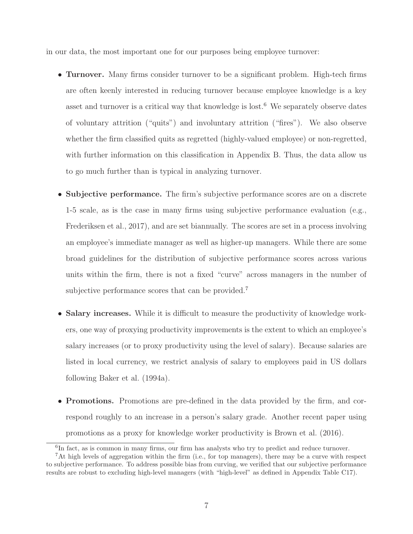in our data, the most important one for our purposes being employee turnover:

- **Turnover.** Many firms consider turnover to be a significant problem. High-tech firms are often keenly interested in reducing turnover because employee knowledge is a key asset and turnover is a critical way that knowledge is lost.<sup>6</sup> We separately observe dates of voluntary attrition ("quits") and involuntary attrition ("fires"). We also observe whether the firm classified quits as regretted (highly-valued employee) or non-regretted, with further information on this classification in Appendix B. Thus, the data allow us to go much further than is typical in analyzing turnover.
- **Subjective performance.** The firm's subjective performance scores are on a discrete 1-5 scale, as is the case in many firms using subjective performance evaluation (e.g., Frederiksen et al., 2017), and are set biannually. The scores are set in a process involving an employee's immediate manager as well as higher-up managers. While there are some broad guidelines for the distribution of subjective performance scores across various units within the firm, there is not a fixed "curve" across managers in the number of subjective performance scores that can be provided.<sup>7</sup>
- **Salary increases.** While it is difficult to measure the productivity of knowledge workers, one way of proxying productivity improvements is the extent to which an employee's salary increases (or to proxy productivity using the level of salary). Because salaries are listed in local currency, we restrict analysis of salary to employees paid in US dollars following Baker et al. (1994a).
- **Promotions.** Promotions are pre-defined in the data provided by the firm, and correspond roughly to an increase in a person's salary grade. Another recent paper using promotions as a proxy for knowledge worker productivity is Brown et al. (2016).

 ${}^{6}$ In fact, as is common in many firms, our firm has analysts who try to predict and reduce turnover.

<sup>&</sup>lt;sup>7</sup>At high levels of aggregation within the firm (i.e., for top managers), there may be a curve with respect to subjective performance. To address possible bias from curving, we verified that our subjective performance results are robust to excluding high-level managers (with "high-level" as defined in Appendix Table C17).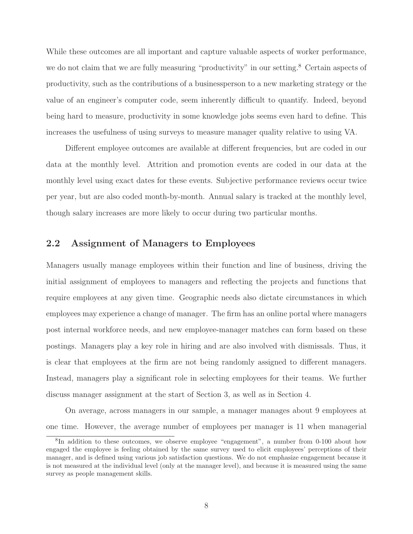While these outcomes are all important and capture valuable aspects of worker performance, we do not claim that we are fully measuring "productivity" in our setting.<sup>8</sup> Certain aspects of productivity, such as the contributions of a businessperson to a new marketing strategy or the value of an engineer's computer code, seem inherently difficult to quantify. Indeed, beyond being hard to measure, productivity in some knowledge jobs seems even hard to define. This increases the usefulness of using surveys to measure manager quality relative to using VA.

Different employee outcomes are available at different frequencies, but are coded in our data at the monthly level. Attrition and promotion events are coded in our data at the monthly level using exact dates for these events. Subjective performance reviews occur twice per year, but are also coded month-by-month. Annual salary is tracked at the monthly level, though salary increases are more likely to occur during two particular months.

### **2.2 Assignment of Managers to Employees**

Managers usually manage employees within their function and line of business, driving the initial assignment of employees to managers and reflecting the projects and functions that require employees at any given time. Geographic needs also dictate circumstances in which employees may experience a change of manager. The firm has an online portal where managers post internal workforce needs, and new employee-manager matches can form based on these postings. Managers play a key role in hiring and are also involved with dismissals. Thus, it is clear that employees at the firm are not being randomly assigned to different managers. Instead, managers play a significant role in selecting employees for their teams. We further discuss manager assignment at the start of Section 3, as well as in Section 4.

On average, across managers in our sample, a manager manages about 9 employees at one time. However, the average number of employees per manager is 11 when managerial

<sup>&</sup>lt;sup>8</sup>In addition to these outcomes, we observe employee "engagement", a number from 0-100 about how engaged the employee is feeling obtained by the same survey used to elicit employees' perceptions of their manager, and is defined using various job satisfaction questions. We do not emphasize engagement because it is not measured at the individual level (only at the manager level), and because it is measured using the same survey as people management skills.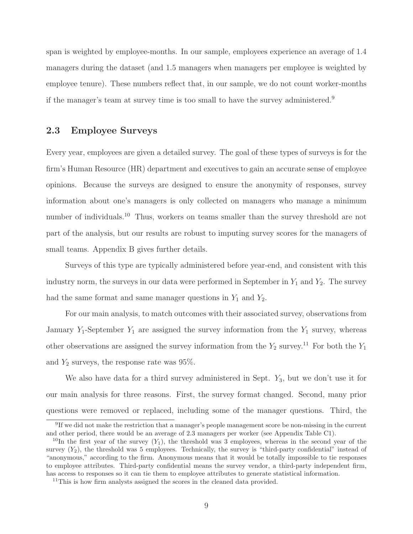span is weighted by employee-months. In our sample, employees experience an average of 1.4 managers during the dataset (and 1.5 managers when managers per employee is weighted by employee tenure). These numbers reflect that, in our sample, we do not count worker-months if the manager's team at survey time is too small to have the survey administered.9

### **2.3 Employee Surveys**

Every year, employees are given a detailed survey. The goal of these types of surveys is for the firm's Human Resource (HR) department and executives to gain an accurate sense of employee opinions. Because the surveys are designed to ensure the anonymity of responses, survey information about one's managers is only collected on managers who manage a minimum number of individuals.<sup>10</sup> Thus, workers on teams smaller than the survey threshold are not part of the analysis, but our results are robust to imputing survey scores for the managers of small teams. Appendix B gives further details.

Surveys of this type are typically administered before year-end, and consistent with this industry norm, the surveys in our data were performed in September in  $Y_1$  and  $Y_2$ . The survey had the same format and same manager questions in  $Y_1$  and  $Y_2$ .

For our main analysis, to match outcomes with their associated survey, observations from January  $Y_1$ -September  $Y_1$  are assigned the survey information from the  $Y_1$  survey, whereas other observations are assigned the survey information from the  $Y_2$  survey.<sup>11</sup> For both the  $Y_1$ and  $Y_2$  surveys, the response rate was 95%.

We also have data for a third survey administered in Sept.  $Y_3$ , but we don't use it for our main analysis for three reasons. First, the survey format changed. Second, many prior questions were removed or replaced, including some of the manager questions. Third, the

<sup>9</sup>If we did not make the restriction that a manager's people management score be non-missing in the current and other period, there would be an average of 2.3 managers per worker (see Appendix Table C1).

<sup>&</sup>lt;sup>10</sup>In the first year of the survey  $(Y_1)$ , the threshold was 3 employees, whereas in the second year of the survey  $(Y_2)$ , the threshold was 5 employees. Technically, the survey is "third-party confidential" instead of "anonymous," according to the firm. Anonymous means that it would be totally impossible to tie responses to employee attributes. Third-party confidential means the survey vendor, a third-party independent firm, has access to responses so it can tie them to employee attributes to generate statistical information.

<sup>&</sup>lt;sup>11</sup>This is how firm analysts assigned the scores in the cleaned data provided.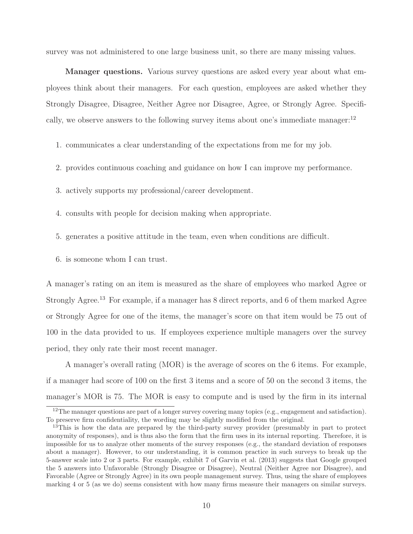survey was not administered to one large business unit, so there are many missing values.

**Manager questions.** Various survey questions are asked every year about what employees think about their managers. For each question, employees are asked whether they Strongly Disagree, Disagree, Neither Agree nor Disagree, Agree, or Strongly Agree. Specifically, we observe answers to the following survey items about one's immediate manager: $^{12}$ 

1. communicates a clear understanding of the expectations from me for my job.

2. provides continuous coaching and guidance on how I can improve my performance.

3. actively supports my professional/career development.

4. consults with people for decision making when appropriate.

- 5. generates a positive attitude in the team, even when conditions are difficult.
- 6. is someone whom I can trust.

A manager's rating on an item is measured as the share of employees who marked Agree or Strongly Agree.<sup>13</sup> For example, if a manager has 8 direct reports, and 6 of them marked Agree or Strongly Agree for one of the items, the manager's score on that item would be 75 out of 100 in the data provided to us. If employees experience multiple managers over the survey period, they only rate their most recent manager.

A manager's overall rating (MOR) is the average of scores on the 6 items. For example, if a manager had score of 100 on the first 3 items and a score of 50 on the second 3 items, the manager's MOR is 75. The MOR is easy to compute and is used by the firm in its internal

<sup>&</sup>lt;sup>12</sup>The manager questions are part of a longer survey covering many topics (e.g., engagement and satisfaction). To preserve firm confidentiality, the wording may be slightly modified from the original.

<sup>&</sup>lt;sup>13</sup>This is how the data are prepared by the third-party survey provider (presumably in part to protect anonymity of responses), and is thus also the form that the firm uses in its internal reporting. Therefore, it is impossible for us to analyze other moments of the survey responses (e.g., the standard deviation of responses about a manager). However, to our understanding, it is common practice in such surveys to break up the 5-answer scale into 2 or 3 parts. For example, exhibit 7 of Garvin et al. (2013) suggests that Google grouped the 5 answers into Unfavorable (Strongly Disagree or Disagree), Neutral (Neither Agree nor Disagree), and Favorable (Agree or Strongly Agree) in its own people management survey. Thus, using the share of employees marking 4 or 5 (as we do) seems consistent with how many firms measure their managers on similar surveys.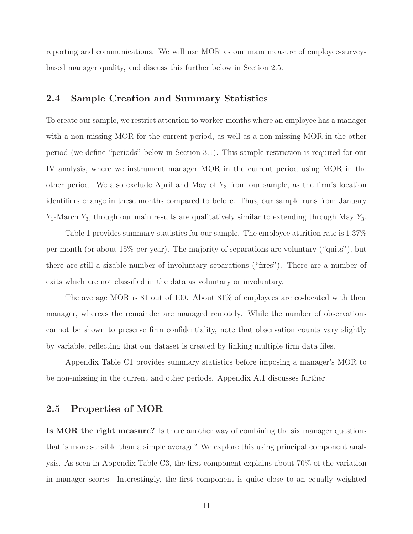reporting and communications. We will use MOR as our main measure of employee-surveybased manager quality, and discuss this further below in Section 2.5.

### **2.4 Sample Creation and Summary Statistics**

To create our sample, we restrict attention to worker-months where an employee has a manager with a non-missing MOR for the current period, as well as a non-missing MOR in the other period (we define "periods" below in Section 3.1). This sample restriction is required for our IV analysis, where we instrument manager MOR in the current period using MOR in the other period. We also exclude April and May of  $Y_3$  from our sample, as the firm's location identifiers change in these months compared to before. Thus, our sample runs from January  $Y_1$ -March  $Y_3$ , though our main results are qualitatively similar to extending through May  $Y_3$ .

Table 1 provides summary statistics for our sample. The employee attrition rate is 1.37% per month (or about 15% per year). The majority of separations are voluntary ("quits"), but there are still a sizable number of involuntary separations ("fires"). There are a number of exits which are not classified in the data as voluntary or involuntary.

The average MOR is 81 out of 100. About 81% of employees are co-located with their manager, whereas the remainder are managed remotely. While the number of observations cannot be shown to preserve firm confidentiality, note that observation counts vary slightly by variable, reflecting that our dataset is created by linking multiple firm data files.

Appendix Table C1 provides summary statistics before imposing a manager's MOR to be non-missing in the current and other periods. Appendix A.1 discusses further.

### **2.5 Properties of MOR**

**Is MOR the right measure?** Is there another way of combining the six manager questions that is more sensible than a simple average? We explore this using principal component analysis. As seen in Appendix Table C3, the first component explains about 70% of the variation in manager scores. Interestingly, the first component is quite close to an equally weighted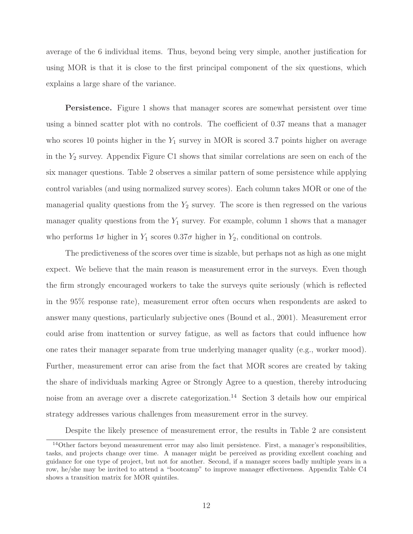average of the 6 individual items. Thus, beyond being very simple, another justification for using MOR is that it is close to the first principal component of the six questions, which explains a large share of the variance.

**Persistence.** Figure 1 shows that manager scores are somewhat persistent over time using a binned scatter plot with no controls. The coefficient of 0.37 means that a manager who scores 10 points higher in the  $Y_1$  survey in MOR is scored 3.7 points higher on average in the  $Y_2$  survey. Appendix Figure C1 shows that similar correlations are seen on each of the six manager questions. Table 2 observes a similar pattern of some persistence while applying control variables (and using normalized survey scores). Each column takes MOR or one of the managerial quality questions from the  $Y_2$  survey. The score is then regressed on the various manager quality questions from the  $Y_1$  survey. For example, column 1 shows that a manager who performs  $1\sigma$  higher in  $Y_1$  scores  $0.37\sigma$  higher in  $Y_2$ , conditional on controls.

The predictiveness of the scores over time is sizable, but perhaps not as high as one might expect. We believe that the main reason is measurement error in the surveys. Even though the firm strongly encouraged workers to take the surveys quite seriously (which is reflected in the 95% response rate), measurement error often occurs when respondents are asked to answer many questions, particularly subjective ones (Bound et al., 2001). Measurement error could arise from inattention or survey fatigue, as well as factors that could influence how one rates their manager separate from true underlying manager quality (e.g., worker mood). Further, measurement error can arise from the fact that MOR scores are created by taking the share of individuals marking Agree or Strongly Agree to a question, thereby introducing noise from an average over a discrete categorization.<sup>14</sup> Section 3 details how our empirical strategy addresses various challenges from measurement error in the survey.

Despite the likely presence of measurement error, the results in Table 2 are consistent

 $14$ Other factors beyond measurement error may also limit persistence. First, a manager's responsibilities, tasks, and projects change over time. A manager might be perceived as providing excellent coaching and guidance for one type of project, but not for another. Second, if a manager scores badly multiple years in a row, he/she may be invited to attend a "bootcamp" to improve manager effectiveness. Appendix Table C4 shows a transition matrix for MOR quintiles.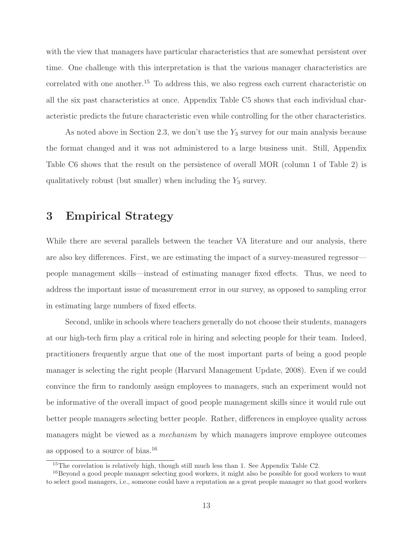with the view that managers have particular characteristics that are somewhat persistent over time. One challenge with this interpretation is that the various manager characteristics are correlated with one another.<sup>15</sup> To address this, we also regress each current characteristic on all the six past characteristics at once. Appendix Table C5 shows that each individual characteristic predicts the future characteristic even while controlling for the other characteristics.

As noted above in Section 2.3, we don't use the  $Y_3$  survey for our main analysis because the format changed and it was not administered to a large business unit. Still, Appendix Table C6 shows that the result on the persistence of overall MOR (column 1 of Table 2) is qualitatively robust (but smaller) when including the  $Y_3$  survey.

## **3 Empirical Strategy**

While there are several parallels between the teacher VA literature and our analysis, there are also key differences. First, we are estimating the impact of a survey-measured regressor people management skills—instead of estimating manager fixed effects. Thus, we need to address the important issue of measurement error in our survey, as opposed to sampling error in estimating large numbers of fixed effects.

Second, unlike in schools where teachers generally do not choose their students, managers at our high-tech firm play a critical role in hiring and selecting people for their team. Indeed, practitioners frequently argue that one of the most important parts of being a good people manager is selecting the right people (Harvard Management Update, 2008). Even if we could convince the firm to randomly assign employees to managers, such an experiment would not be informative of the overall impact of good people management skills since it would rule out better people managers selecting better people. Rather, differences in employee quality across managers might be viewed as a mechanism by which managers improve employee outcomes as opposed to a source of bias.16

<sup>15</sup>The correlation is relatively high, though still much less than 1. See Appendix Table C2.

<sup>&</sup>lt;sup>16</sup>Beyond a good people manager selecting good workers, it might also be possible for good workers to want to select good managers, i.e., someone could have a reputation as a great people manager so that good workers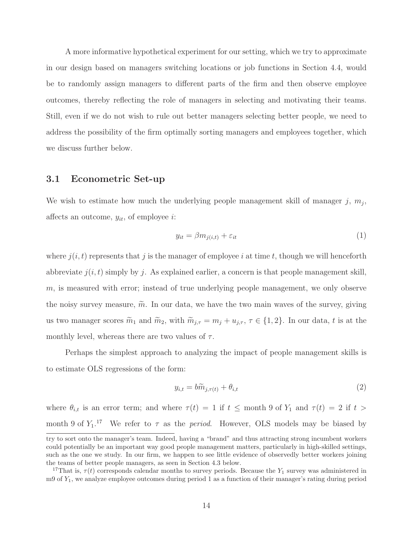A more informative hypothetical experiment for our setting, which we try to approximate in our design based on managers switching locations or job functions in Section 4.4, would be to randomly assign managers to different parts of the firm and then observe employee outcomes, thereby reflecting the role of managers in selecting and motivating their teams. Still, even if we do not wish to rule out better managers selecting better people, we need to address the possibility of the firm optimally sorting managers and employees together, which we discuss further below.

#### **3.1 Econometric Set-up**

We wish to estimate how much the underlying people management skill of manager j,  $m_i$ , affects an outcome,  $y_{it}$ , of employee *i*:

$$
y_{it} = \beta m_{j(i,t)} + \varepsilon_{it} \tag{1}
$$

where  $j(i, t)$  represents that j is the manager of employee i at time t, though we will henceforth abbreviate  $j(i, t)$  simply by j. As explained earlier, a concern is that people management skill, m, is measured with error; instead of true underlying people management, we only observe the noisy survey measure,  $\tilde{m}$ . In our data, we have the two main waves of the survey, giving us two manager scores  $\widetilde{m}$  $_1$  and  $\widetilde{m}$ 2, with  $\widetilde{m}_{j,\tau} = m_j + u_{j,\tau}, \tau \in \{1,2\}$ . In our data, t is at the monthly level, whereas there are two values of  $\tau$ .

Perhaps the simplest approach to analyzing the impact of people management skills is to estimate OLS regressions of the form:

$$
y_{i,t} = b\widetilde{m}_{j,\tau(t)} + \theta_{i,t} \tag{2}
$$

where  $\theta_{i,t}$  is an error term; and where  $\tau(t) = 1$  if  $t \le$  month 9 of  $Y_1$  and  $\tau(t) = 2$  if  $t >$ month 9 of  $Y_1$ .<sup>17</sup> We refer to  $\tau$  as the *period*. However, OLS models may be biased by

try to sort onto the manager's team. Indeed, having a "brand" and thus attracting strong incumbent workers could potentially be an important way good people management matters, particularly in high-skilled settings, such as the one we study. In our firm, we happen to see little evidence of observedly better workers joining the teams of better people managers, as seen in Section 4.3 below.

<sup>&</sup>lt;sup>17</sup>That is,  $\tau(t)$  corresponds calendar months to survey periods. Because the  $Y_1$  survey was administered in m9 of Y1, we analyze employee outcomes during period 1 as a function of their manager's rating during period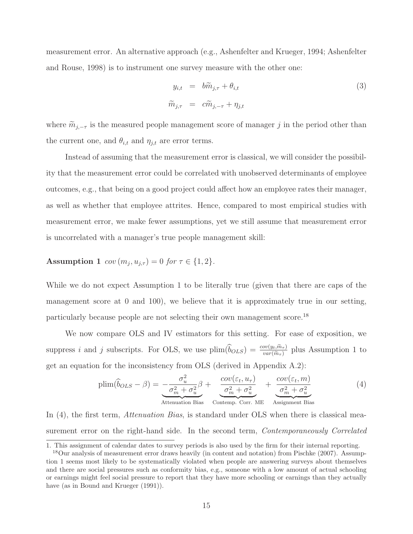measurement error. An alternative approach (e.g., Ashenfelter and Krueger, 1994; Ashenfelter and Rouse, 1998) is to instrument one survey measure with the other one:

$$
y_{i,t} = b\widetilde{m}_{j,\tau} + \theta_{i,t}
$$
  
\n
$$
\widetilde{m}_{j,\tau} = c\widetilde{m}_{j,-\tau} + \eta_{j,t}
$$
\n(3)

where  $\widetilde{m}_{j,-\tau}$  is the measured people management score of manager j in the period other than the current one, and  $\theta_{i,t}$  and  $\eta_{j,t}$  are error terms.

Instead of assuming that the measurement error is classical, we will consider the possibility that the measurement error could be correlated with unobserved determinants of employee outcomes, e.g., that being on a good project could affect how an employee rates their manager, as well as whether that employee attrites. Hence, compared to most empirical studies with measurement error, we make fewer assumptions, yet we still assume that measurement error is uncorrelated with a manager's true people management skill:

## **Assumption 1**  $cov(m_i, u_{i,\tau}) = 0$  for  $\tau \in \{1, 2\}.$

While we do not expect Assumption 1 to be literally true (given that there are caps of the management score at 0 and 100), we believe that it is approximately true in our setting, particularly because people are not selecting their own management score.18

We now compare OLS and IV estimators for this setting. For ease of exposition, we particularly because people are not selecting their own management s<br>We now compare OLS and IV estimators for this setting. For<br>suppress i and j subscripts. For OLS, we use  $\text{plim}(\hat{b}_{OLS}) = \frac{\text{cov}(y_t, \hat{m}_\tau)}{\text{var}(\hat{m}_\tau)}$ g. For ease of exposition, we<br>  $\frac{ov(y_t, \tilde{m}_{\tau})}{var(\tilde{m}_{\tau})}$  plus Assumption 1 to get an equation for the inconsistency from OLS (derived in Appendix A.2):

$$
\text{plim}(\widehat{b}_{OLS} - \beta) = -\frac{\sigma_u^2}{\sigma_m^2 + \sigma_u^2} \beta + \underbrace{\frac{\text{cov}(\varepsilon_t, u_\tau)}{\sigma_m^2 + \sigma_u^2}}_{\text{Attention Bias}} + \underbrace{\frac{\text{cov}(\varepsilon_t, m)}{\sigma_m^2 + \sigma_u^2}}_{\text{Contemp. Corr. ME}} \underbrace{\frac{\text{cov}(\varepsilon_t, m)}{\sigma_m^2 + \sigma_u^2}}_{\text{Assignment Bias}}
$$
(4)

Contemp. Corr. ME

Assignment Bias

In (4), the first term, *Attenuation Bias*, is standard under OLS when there is classical measurement error on the right-hand side. In the second term, *Contemporaneously Correlated* 

<sup>1.</sup> This assignment of calendar dates to survey periods is also used by the firm for their internal reporting.

<sup>&</sup>lt;sup>18</sup>Our analysis of measurement error draws heavily (in content and notation) from Pischke (2007). Assumption 1 seems most likely to be systematically violated when people are answering surveys about themselves and there are social pressures such as conformity bias, e.g., someone with a low amount of actual schooling or earnings might feel social pressure to report that they have more schooling or earnings than they actually have (as in Bound and Krueger  $(1991)$ ).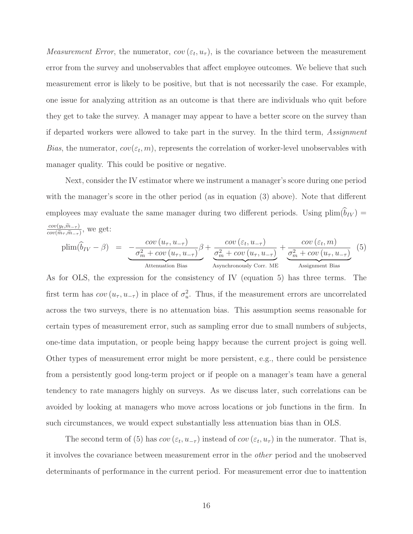*Measurement Error*, the numerator,  $cov(\varepsilon_t, u_\tau)$ , is the covariance between the measurement error from the survey and unobservables that affect employee outcomes. We believe that such measurement error is likely to be positive, but that is not necessarily the case. For example, one issue for analyzing attrition as an outcome is that there are individuals who quit before they get to take the survey. A manager may appear to have a better score on the survey than if departed workers were allowed to take part in the survey. In the third term, Assignment Bias, the numerator,  $cov(\varepsilon_t, m)$ , represents the correlation of worker-level unobservables with manager quality. This could be positive or negative.

Next, consider the IV estimator where we instrument a manager's score during one period with the manager's score in the other period (as in equation (3) above). Note that different employees may evaluate the same manager during two different periods. Using  $\text{plim}(\hat{b}_{IV}) =$ with the i<br>
employees<br>  $\frac{cov(y_t, \tilde{m}_{-\tau})}{cov(\tilde{m}_{\tau}, \tilde{m}_{\tau})}$ employees may eva<br>  $\frac{cov(y_t, \tilde{m}_{-\tau})}{cov(\tilde{m}_{\tau}, \tilde{m}_{-\tau})}$ , we get:

$$
\text{plim}(\widehat{b}_{IV} - \beta) = \underbrace{-\frac{\text{cov}(u_{\tau}, u_{-\tau})}{\sigma_m^2 + \text{cov}(u_{\tau}, u_{-\tau})}\beta}_{\text{Attention Bias}} + \underbrace{\frac{\text{cov}(\varepsilon_t, u_{-\tau})}{\sigma_m^2 + \text{cov}(u_{\tau}, u_{-\tau})}}_{\text{Asynchronously Corr. ME}} + \underbrace{\frac{\text{cov}(\varepsilon_t, m)}{\sigma_m^2 + \text{cov}(u_{\tau}, u_{-\tau})}}_{\text{Assignment Bias}} \tag{5}
$$

As for OLS, the expression for the consistency of IV (equation 5) has three terms. The first term has  $cov(u_{\tau}, u_{-\tau})$  in place of  $\sigma_u^2$ . Thus, if the measurement errors are uncorrelated across the two surveys, there is no attenuation bias. This assumption seems reasonable for certain types of measurement error, such as sampling error due to small numbers of subjects, one-time data imputation, or people being happy because the current project is going well. Other types of measurement error might be more persistent, e.g., there could be persistence from a persistently good long-term project or if people on a manager's team have a general tendency to rate managers highly on surveys. As we discuss later, such correlations can be avoided by looking at managers who move across locations or job functions in the firm. In such circumstances, we would expect substantially less attenuation bias than in OLS.

The second term of (5) has  $cov(\varepsilon_t, u_{-\tau})$  instead of  $cov(\varepsilon_t, u_{\tau})$  in the numerator. That is, it involves the covariance between measurement error in the other period and the unobserved determinants of performance in the current period. For measurement error due to inattention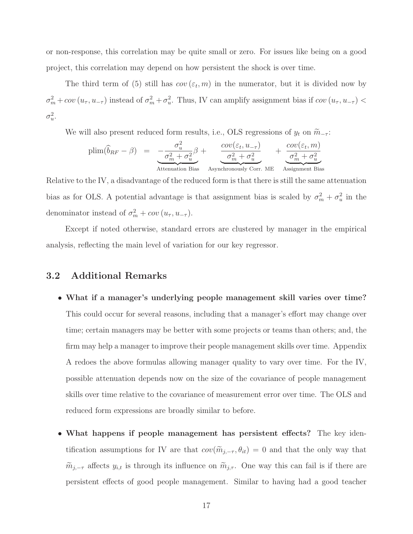or non-response, this correlation may be quite small or zero. For issues like being on a good project, this correlation may depend on how persistent the shock is over time.

The third term of (5) still has  $cov(\varepsilon_t, m)$  in the numerator, but it is divided now by  $\sigma_m^2 + cov(u_\tau, u_{-\tau})$  instead of  $\sigma_m^2 + \sigma_u^2$ . Thus, IV can amplify assignment bias if  $cov(u_\tau, u_{-\tau})$  $\sigma^2_u$ .

We will also present reduced form results, i.e., OLS regressions of  $y_t$  on  $\widetilde{m}_{-\tau}$ :

$$
\text{plim}(\widehat{b}_{RF} - \beta) = -\frac{\sigma_u^2}{\sigma_m^2 + \sigma_u^2} \beta + \underbrace{\frac{\text{cov}(\varepsilon_t, u_{-\tau})}{\sigma_m^2 + \sigma_u^2}}_{\text{Attention Bias}} + \underbrace{\frac{\text{cov}(\varepsilon_t, m)}{\sigma_m^2 + \sigma_u^2}}_{\text{Assignment Bias}}
$$

Relative to the IV, a disadvantage of the reduced form is that there is still the same attenuation bias as for OLS. A potential advantage is that assignment bias is scaled by  $\sigma_m^2 + \sigma_u^2$  in the denominator instead of  $\sigma_m^2 + cov(u_\tau, u_{-\tau}).$ 

Except if noted otherwise, standard errors are clustered by manager in the empirical analysis, reflecting the main level of variation for our key regressor.

### **3.2 Additional Remarks**

- **What if a manager's underlying people management skill varies over time?** This could occur for several reasons, including that a manager's effort may change over time; certain managers may be better with some projects or teams than others; and, the firm may help a manager to improve their people management skills over time. Appendix A redoes the above formulas allowing manager quality to vary over time. For the IV, possible attenuation depends now on the size of the covariance of people management skills over time relative to the covariance of measurement error over time. The OLS and reduced form expressions are broadly similar to before.
- **What happens if people management has persistent effects?** The key identification assumptions for IV are that  $cov(\tilde{m}_{j,-\tau}, \theta_{it}) = 0$  and that the only way that  $\widetilde{m}_{j,-\tau}$  affects  $y_{i,t}$  is through its influence on  $\widetilde{m}_{j,\tau}$ . One way this can fail is if there are persistent effects of good people management. Similar to having had a good teacher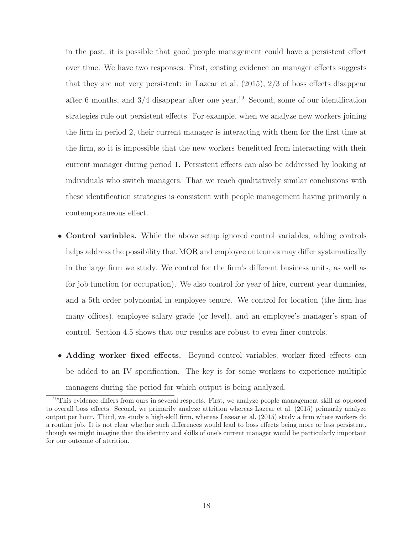in the past, it is possible that good people management could have a persistent effect over time. We have two responses. First, existing evidence on manager effects suggests that they are not very persistent: in Lazear et al. (2015), 2/3 of boss effects disappear after 6 months, and  $3/4$  disappear after one year.<sup>19</sup> Second, some of our identification strategies rule out persistent effects. For example, when we analyze new workers joining the firm in period 2, their current manager is interacting with them for the first time at the firm, so it is impossible that the new workers benefitted from interacting with their current manager during period 1. Persistent effects can also be addressed by looking at individuals who switch managers. That we reach qualitatively similar conclusions with these identification strategies is consistent with people management having primarily a contemporaneous effect.

- **Control variables.** While the above setup ignored control variables, adding controls helps address the possibility that MOR and employee outcomes may differ systematically in the large firm we study. We control for the firm's different business units, as well as for job function (or occupation). We also control for year of hire, current year dummies, and a 5th order polynomial in employee tenure. We control for location (the firm has many offices), employee salary grade (or level), and an employee's manager's span of control. Section 4.5 shows that our results are robust to even finer controls.
- **Adding worker fixed effects.** Beyond control variables, worker fixed effects can be added to an IV specification. The key is for some workers to experience multiple managers during the period for which output is being analyzed.

 $19$ This evidence differs from ours in several respects. First, we analyze people management skill as opposed to overall boss effects. Second, we primarily analyze attrition whereas Lazear et al. (2015) primarily analyze output per hour. Third, we study a high-skill firm, whereas Lazear et al. (2015) study a firm where workers do a routine job. It is not clear whether such differences would lead to boss effects being more or less persistent, though we might imagine that the identity and skills of one's current manager would be particularly important for our outcome of attrition.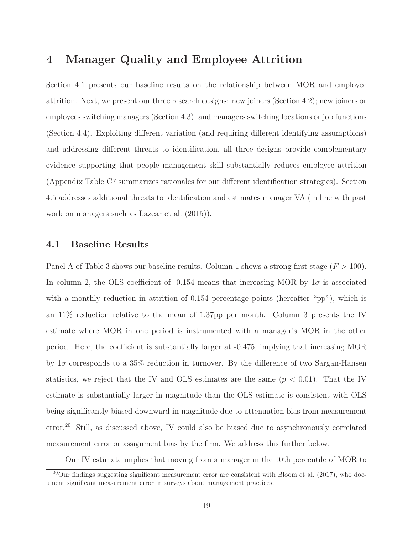## **4 Manager Quality and Employee Attrition**

Section 4.1 presents our baseline results on the relationship between MOR and employee attrition. Next, we present our three research designs: new joiners (Section 4.2); new joiners or employees switching managers (Section 4.3); and managers switching locations or job functions (Section 4.4). Exploiting different variation (and requiring different identifying assumptions) and addressing different threats to identification, all three designs provide complementary evidence supporting that people management skill substantially reduces employee attrition (Appendix Table C7 summarizes rationales for our different identification strategies). Section 4.5 addresses additional threats to identification and estimates manager VA (in line with past work on managers such as Lazear et al. (2015)).

### **4.1 Baseline Results**

Panel A of Table 3 shows our baseline results. Column 1 shows a strong first stage  $(F > 100)$ . In column 2, the OLS coefficient of -0.154 means that increasing MOR by  $1\sigma$  is associated with a monthly reduction in attrition of 0.154 percentage points (hereafter "pp"), which is an 11% reduction relative to the mean of 1.37pp per month. Column 3 presents the IV estimate where MOR in one period is instrumented with a manager's MOR in the other period. Here, the coefficient is substantially larger at -0.475, implying that increasing MOR by  $1\sigma$  corresponds to a 35% reduction in turnover. By the difference of two Sargan-Hansen statistics, we reject that the IV and OLS estimates are the same  $(p < 0.01)$ . That the IV estimate is substantially larger in magnitude than the OLS estimate is consistent with OLS being significantly biased downward in magnitude due to attenuation bias from measurement error.<sup>20</sup> Still, as discussed above, IV could also be biased due to asynchronously correlated measurement error or assignment bias by the firm. We address this further below.

Our IV estimate implies that moving from a manager in the 10th percentile of MOR to

 $^{20}$ Our findings suggesting significant measurement error are consistent with Bloom et al. (2017), who document significant measurement error in surveys about management practices.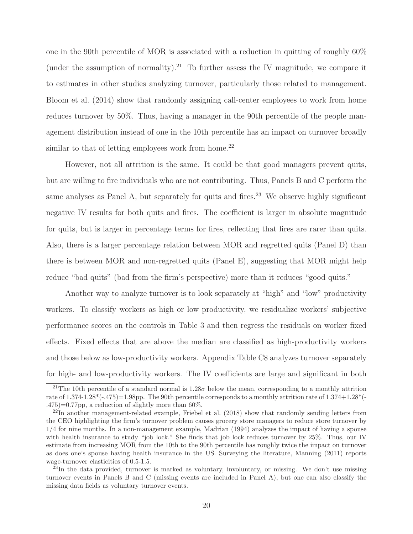one in the 90th percentile of MOR is associated with a reduction in quitting of roughly 60% (under the assumption of normality).<sup>21</sup> To further assess the IV magnitude, we compare it to estimates in other studies analyzing turnover, particularly those related to management. Bloom et al. (2014) show that randomly assigning call-center employees to work from home reduces turnover by 50%. Thus, having a manager in the 90th percentile of the people management distribution instead of one in the 10th percentile has an impact on turnover broadly similar to that of letting employees work from home.<sup>22</sup>

However, not all attrition is the same. It could be that good managers prevent quits, but are willing to fire individuals who are not contributing. Thus, Panels B and C perform the same analyses as Panel A, but separately for quits and fires.<sup>23</sup> We observe highly significant negative IV results for both quits and fires. The coefficient is larger in absolute magnitude for quits, but is larger in percentage terms for fires, reflecting that fires are rarer than quits. Also, there is a larger percentage relation between MOR and regretted quits (Panel D) than there is between MOR and non-regretted quits (Panel E), suggesting that MOR might help reduce "bad quits" (bad from the firm's perspective) more than it reduces "good quits."

Another way to analyze turnover is to look separately at "high" and "low" productivity workers. To classify workers as high or low productivity, we residualize workers' subjective performance scores on the controls in Table 3 and then regress the residuals on worker fixed effects. Fixed effects that are above the median are classified as high-productivity workers and those below as low-productivity workers. Appendix Table C8 analyzes turnover separately for high- and low-productivity workers. The IV coefficients are large and significant in both

<sup>&</sup>lt;sup>21</sup>The 10th percentile of a standard normal is  $1.28\sigma$  below the mean, corresponding to a monthly attrition rate of  $1.374-1.28*(-475)=1.98$ pp. The 90th percentile corresponds to a monthly attrition rate of  $1.374+1.28*(-475)=1.98$ pp.  $.475$ )=0.77pp, a reduction of slightly more than 60%.

 $^{22}$ In another management-related example, Friebel et al. (2018) show that randomly sending letters from the CEO highlighting the firm's turnover problem causes grocery store managers to reduce store turnover by 1/4 for nine months. In a non-management example, Madrian (1994) analyzes the impact of having a spouse with health insurance to study "job lock." She finds that job lock reduces turnover by 25%. Thus, our IV estimate from increasing MOR from the 10th to the 90th percentile has roughly twice the impact on turnover as does one's spouse having health insurance in the US. Surveying the literature, Manning (2011) reports wage-turnover elasticities of 0.5-1.5.

 $^{23}$ In the data provided, turnover is marked as voluntary, involuntary, or missing. We don't use missing turnover events in Panels B and C (missing events are included in Panel A), but one can also classify the missing data fields as voluntary turnover events.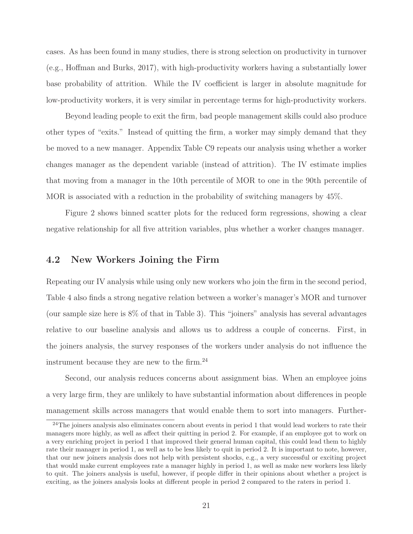cases. As has been found in many studies, there is strong selection on productivity in turnover (e.g., Hoffman and Burks, 2017), with high-productivity workers having a substantially lower base probability of attrition. While the IV coefficient is larger in absolute magnitude for low-productivity workers, it is very similar in percentage terms for high-productivity workers.

Beyond leading people to exit the firm, bad people management skills could also produce other types of "exits." Instead of quitting the firm, a worker may simply demand that they be moved to a new manager. Appendix Table C9 repeats our analysis using whether a worker changes manager as the dependent variable (instead of attrition). The IV estimate implies that moving from a manager in the 10th percentile of MOR to one in the 90th percentile of MOR is associated with a reduction in the probability of switching managers by 45%.

Figure 2 shows binned scatter plots for the reduced form regressions, showing a clear negative relationship for all five attrition variables, plus whether a worker changes manager.

### **4.2 New Workers Joining the Firm**

Repeating our IV analysis while using only new workers who join the firm in the second period, Table 4 also finds a strong negative relation between a worker's manager's MOR and turnover (our sample size here is 8% of that in Table 3). This "joiners" analysis has several advantages relative to our baseline analysis and allows us to address a couple of concerns. First, in the joiners analysis, the survey responses of the workers under analysis do not influence the instrument because they are new to the firm.<sup>24</sup>

Second, our analysis reduces concerns about assignment bias. When an employee joins a very large firm, they are unlikely to have substantial information about differences in people management skills across managers that would enable them to sort into managers. Further-

<sup>&</sup>lt;sup>24</sup>The joiners analysis also eliminates concern about events in period 1 that would lead workers to rate their managers more highly, as well as affect their quitting in period 2. For example, if an employee got to work on a very enriching project in period 1 that improved their general human capital, this could lead them to highly rate their manager in period 1, as well as to be less likely to quit in period 2. It is important to note, however, that our new joiners analysis does not help with persistent shocks, e.g., a very successful or exciting project that would make current employees rate a manager highly in period 1, as well as make new workers less likely to quit. The joiners analysis is useful, however, if people differ in their opinions about whether a project is exciting, as the joiners analysis looks at different people in period 2 compared to the raters in period 1.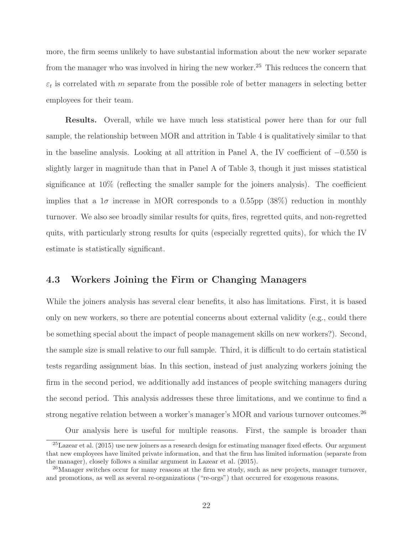more, the firm seems unlikely to have substantial information about the new worker separate from the manager who was involved in hiring the new worker.<sup>25</sup> This reduces the concern that  $\varepsilon_t$  is correlated with m separate from the possible role of better managers in selecting better employees for their team.

**Results.** Overall, while we have much less statistical power here than for our full sample, the relationship between MOR and attrition in Table 4 is qualitatively similar to that in the baseline analysis. Looking at all attrition in Panel A, the IV coefficient of  $-0.550$  is slightly larger in magnitude than that in Panel A of Table 3, though it just misses statistical significance at 10% (reflecting the smaller sample for the joiners analysis). The coefficient implies that a  $1\sigma$  increase in MOR corresponds to a 0.55pp (38%) reduction in monthly turnover. We also see broadly similar results for quits, fires, regretted quits, and non-regretted quits, with particularly strong results for quits (especially regretted quits), for which the IV estimate is statistically significant.

## **4.3 Workers Joining the Firm or Changing Managers**

While the joiners analysis has several clear benefits, it also has limitations. First, it is based only on new workers, so there are potential concerns about external validity (e.g., could there be something special about the impact of people management skills on new workers?). Second, the sample size is small relative to our full sample. Third, it is difficult to do certain statistical tests regarding assignment bias. In this section, instead of just analyzing workers joining the firm in the second period, we additionally add instances of people switching managers during the second period. This analysis addresses these three limitations, and we continue to find a strong negative relation between a worker's manager's MOR and various turnover outcomes.<sup>26</sup>

Our analysis here is useful for multiple reasons. First, the sample is broader than

<sup>&</sup>lt;sup>25</sup>Lazear et al. (2015) use new joiners as a research design for estimating manager fixed effects. Our argument that new employees have limited private information, and that the firm has limited information (separate from the manager), closely follows a similar argument in Lazear et al. (2015).

<sup>&</sup>lt;sup>26</sup>Manager switches occur for many reasons at the firm we study, such as new projects, manager turnover, and promotions, as well as several re-organizations ("re-orgs") that occurred for exogenous reasons.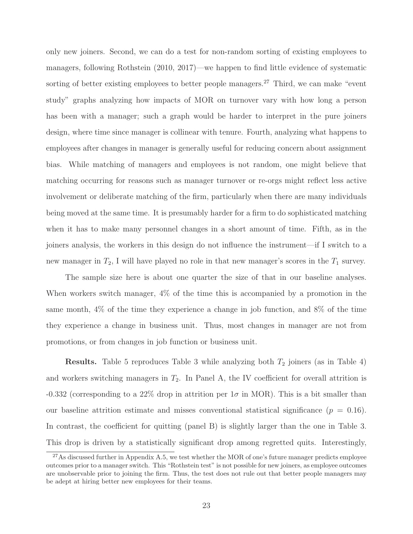only new joiners. Second, we can do a test for non-random sorting of existing employees to managers, following Rothstein (2010, 2017)—we happen to find little evidence of systematic sorting of better existing employees to better people managers.<sup>27</sup> Third, we can make "event" study" graphs analyzing how impacts of MOR on turnover vary with how long a person has been with a manager; such a graph would be harder to interpret in the pure joiners design, where time since manager is collinear with tenure. Fourth, analyzing what happens to employees after changes in manager is generally useful for reducing concern about assignment bias. While matching of managers and employees is not random, one might believe that matching occurring for reasons such as manager turnover or re-orgs might reflect less active involvement or deliberate matching of the firm, particularly when there are many individuals being moved at the same time. It is presumably harder for a firm to do sophisticated matching when it has to make many personnel changes in a short amount of time. Fifth, as in the joiners analysis, the workers in this design do not influence the instrument—if I switch to a new manager in  $T_2$ , I will have played no role in that new manager's scores in the  $T_1$  survey.

The sample size here is about one quarter the size of that in our baseline analyses. When workers switch manager, 4% of the time this is accompanied by a promotion in the same month, 4% of the time they experience a change in job function, and 8% of the time they experience a change in business unit. Thus, most changes in manager are not from promotions, or from changes in job function or business unit.

**Results.** Table 5 reproduces Table 3 while analyzing both  $T_2$  joiners (as in Table 4) and workers switching managers in  $T_2$ . In Panel A, the IV coefficient for overall attrition is -0.332 (corresponding to a 22% drop in attrition per  $1\sigma$  in MOR). This is a bit smaller than our baseline attrition estimate and misses conventional statistical significance  $(p = 0.16)$ . In contrast, the coefficient for quitting (panel B) is slightly larger than the one in Table 3. This drop is driven by a statistically significant drop among regretted quits. Interestingly,

 $27$ As discussed further in Appendix A.5, we test whether the MOR of one's future manager predicts employee outcomes prior to a manager switch. This "Rothstein test" is not possible for new joiners, as employee outcomes are unobservable prior to joining the firm. Thus, the test does not rule out that better people managers may be adept at hiring better new employees for their teams.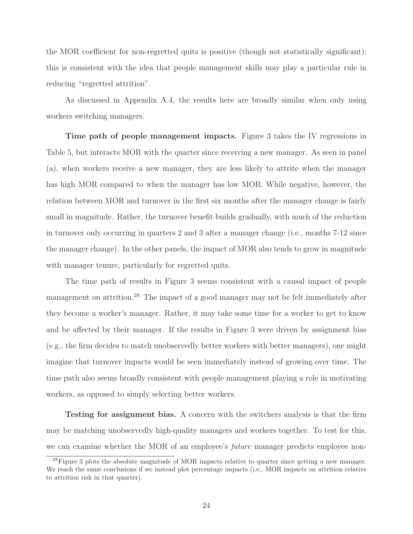the MOR coefficient for non-regretted quits is positive (though not statistically significant); this is consistent with the idea that people management skills may play a particular rule in reducing "regretted attrition".

As discussed in Appendix A.4, the results here are broadly similar when only using workers switching managers.

**Time path of people management impacts.** Figure 3 takes the IV regressions in Table 5, but interacts MOR with the quarter since receiving a new manager. As seen in panel (a), when workers receive a new manager, they are less likely to attrite when the manager has high MOR compared to when the manager has low MOR. While negative, however, the relation between MOR and turnover in the first six months after the manager change is fairly small in magnitude. Rather, the turnover benefit builds gradually, with much of the reduction in turnover only occurring in quarters 2 and 3 after a manager change (i.e., months 7-12 since the manager change). In the other panels, the impact of MOR also tends to grow in magnitude with manager tenure, particularly for regretted quits.

The time path of results in Figure 3 seems consistent with a causal impact of people management on attrition.<sup>28</sup> The impact of a good manager may not be felt immediately after they become a worker's manager. Rather, it may take some time for a worker to get to know and be affected by their manager. If the results in Figure 3 were driven by assignment bias (e.g., the firm decides to match unobservedly better workers with better managers), one might imagine that turnover impacts would be seen immediately instead of growing over time. The time path also seems broadly consistent with people management playing a role in motivating workers, as opposed to simply selecting better workers.

**Testing for assignment bias.** A concern with the switchers analysis is that the firm may be matching unobservedly high-quality managers and workers together. To test for this, we can examine whether the MOR of an employee's *future* manager predicts employee non-

<sup>28</sup>Figure 3 plots the absolute magnitude of MOR impacts relative to quarter since getting a new manager. We reach the same conclusions if we instead plot percentage impacts (i.e., MOR impacts on attrition relative to attrition risk in that quarter).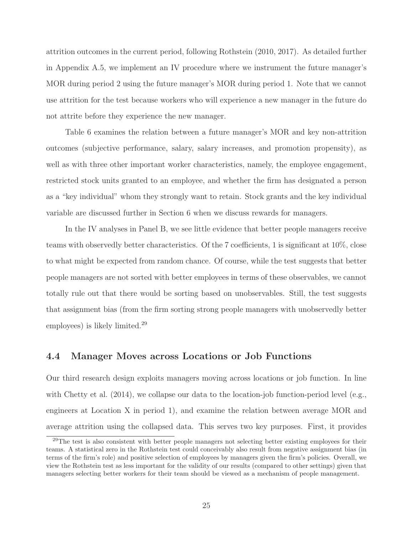attrition outcomes in the current period, following Rothstein (2010, 2017). As detailed further in Appendix A.5, we implement an IV procedure where we instrument the future manager's MOR during period 2 using the future manager's MOR during period 1. Note that we cannot use attrition for the test because workers who will experience a new manager in the future do not attrite before they experience the new manager.

Table 6 examines the relation between a future manager's MOR and key non-attrition outcomes (subjective performance, salary, salary increases, and promotion propensity), as well as with three other important worker characteristics, namely, the employee engagement, restricted stock units granted to an employee, and whether the firm has designated a person as a "key individual" whom they strongly want to retain. Stock grants and the key individual variable are discussed further in Section 6 when we discuss rewards for managers.

In the IV analyses in Panel B, we see little evidence that better people managers receive teams with observedly better characteristics. Of the 7 coefficients, 1 is significant at 10%, close to what might be expected from random chance. Of course, while the test suggests that better people managers are not sorted with better employees in terms of these observables, we cannot totally rule out that there would be sorting based on unobservables. Still, the test suggests that assignment bias (from the firm sorting strong people managers with unobservedly better employees) is likely limited.29

#### **4.4 Manager Moves across Locations or Job Functions**

Our third research design exploits managers moving across locations or job function. In line with Chetty et al. (2014), we collapse our data to the location-job function-period level (e.g., engineers at Location X in period 1), and examine the relation between average MOR and average attrition using the collapsed data. This serves two key purposes. First, it provides

<sup>&</sup>lt;sup>29</sup>The test is also consistent with better people managers not selecting better existing employees for their teams. A statistical zero in the Rothstein test could conceivably also result from negative assignment bias (in terms of the firm's role) and positive selection of employees by managers given the firm's policies. Overall, we view the Rothstein test as less important for the validity of our results (compared to other settings) given that managers selecting better workers for their team should be viewed as a mechanism of people management.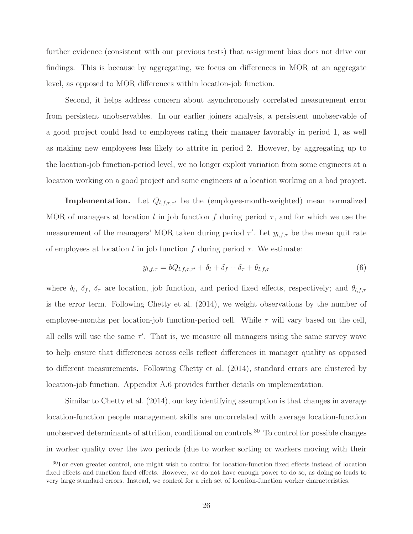further evidence (consistent with our previous tests) that assignment bias does not drive our findings. This is because by aggregating, we focus on differences in MOR at an aggregate level, as opposed to MOR differences within location-job function.

Second, it helps address concern about asynchronously correlated measurement error from persistent unobservables. In our earlier joiners analysis, a persistent unobservable of a good project could lead to employees rating their manager favorably in period 1, as well as making new employees less likely to attrite in period 2. However, by aggregating up to the location-job function-period level, we no longer exploit variation from some engineers at a location working on a good project and some engineers at a location working on a bad project.

**Implementation.** Let  $Q_{l,f,\tau,\tau'}$  be the (employee-month-weighted) mean normalized MOR of managers at location l in job function f during period  $\tau$ , and for which we use the measurement of the managers' MOR taken during period  $\tau'$ . Let  $y_{l,f,\tau}$  be the mean quit rate of employees at location l in job function f during period  $\tau$ . We estimate:

$$
y_{l,f,\tau} = bQ_{l,f,\tau,\tau'} + \delta_l + \delta_f + \delta_\tau + \theta_{l,f,\tau}
$$
\n<sup>(6)</sup>

where  $\delta_l$ ,  $\delta_f$ ,  $\delta_\tau$  are location, job function, and period fixed effects, respectively; and  $\theta_{l,f,\tau}$ is the error term. Following Chetty et al. (2014), we weight observations by the number of employee-months per location-job function-period cell. While  $\tau$  will vary based on the cell, all cells will use the same  $\tau'$ . That is, we measure all managers using the same survey wave to help ensure that differences across cells reflect differences in manager quality as opposed to different measurements. Following Chetty et al. (2014), standard errors are clustered by location-job function. Appendix A.6 provides further details on implementation.

Similar to Chetty et al. (2014), our key identifying assumption is that changes in average location-function people management skills are uncorrelated with average location-function unobserved determinants of attrition, conditional on controls.<sup>30</sup> To control for possible changes in worker quality over the two periods (due to worker sorting or workers moving with their

<sup>30</sup>For even greater control, one might wish to control for location-function fixed effects instead of location fixed effects and function fixed effects. However, we do not have enough power to do so, as doing so leads to very large standard errors. Instead, we control for a rich set of location-function worker characteristics.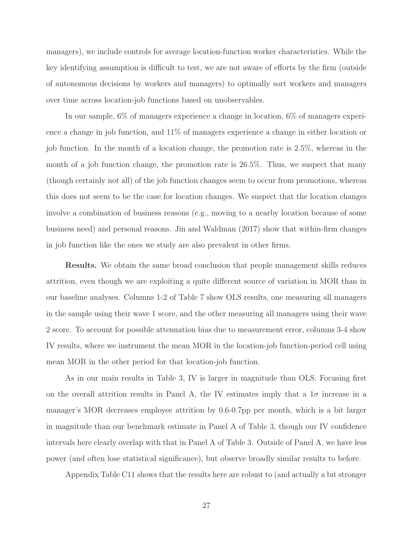managers), we include controls for average location-function worker characteristics. While the key identifying assumption is difficult to test, we are not aware of efforts by the firm (outside of autonomous decisions by workers and managers) to optimally sort workers and managers over time across location-job functions based on unobservables.

In our sample, 6% of managers experience a change in location, 6% of managers experience a change in job function, and 11% of managers experience a change in either location or job function. In the month of a location change, the promotion rate is 2.5%, whereas in the month of a job function change, the promotion rate is 26.5%. Thus, we suspect that many (though certainly not all) of the job function changes seem to occur from promotions, whereas this does not seem to be the case for location changes. We suspect that the location changes involve a combination of business reasons (e.g., moving to a nearby location because of some business need) and personal reasons. Jin and Waldman (2017) show that within-firm changes in job function like the ones we study are also prevalent in other firms.

**Results.** We obtain the same broad conclusion that people management skills reduces attrition, even though we are exploiting a quite different source of variation in MOR than in our baseline analyses. Columns 1-2 of Table 7 show OLS results, one measuring all managers in the sample using their wave 1 score, and the other measuring all managers using their wave 2 score. To account for possible attenuation bias due to measurement error, columns 3-4 show IV results, where we instrument the mean MOR in the location-job function-period cell using mean MOR in the other period for that location-job function.

As in our main results in Table 3, IV is larger in magnitude than OLS. Focusing first on the overall attrition results in Panel A, the IV estimates imply that a  $1\sigma$  increase in a manager's MOR decreases employee attrition by 0.6-0.7pp per month, which is a bit larger in magnitude than our benchmark estimate in Panel A of Table 3, though our IV confidence intervals here clearly overlap with that in Panel A of Table 3. Outside of Panel A, we have less power (and often lose statistical significance), but observe broadly similar results to before.

Appendix Table C11 shows that the results here are robust to (and actually a bit stronger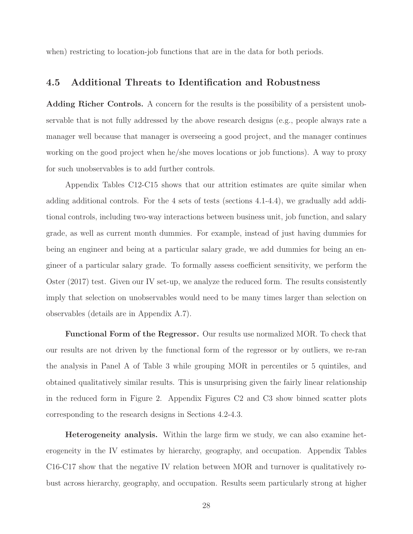when) restricting to location-job functions that are in the data for both periods.

#### **4.5 Additional Threats to Identification and Robustness**

**Adding Richer Controls.** A concern for the results is the possibility of a persistent unobservable that is not fully addressed by the above research designs (e.g., people always rate a manager well because that manager is overseeing a good project, and the manager continues working on the good project when he/she moves locations or job functions). A way to proxy for such unobservables is to add further controls.

Appendix Tables C12-C15 shows that our attrition estimates are quite similar when adding additional controls. For the 4 sets of tests (sections 4.1-4.4), we gradually add additional controls, including two-way interactions between business unit, job function, and salary grade, as well as current month dummies. For example, instead of just having dummies for being an engineer and being at a particular salary grade, we add dummies for being an engineer of a particular salary grade. To formally assess coefficient sensitivity, we perform the Oster (2017) test. Given our IV set-up, we analyze the reduced form. The results consistently imply that selection on unobservables would need to be many times larger than selection on observables (details are in Appendix A.7).

**Functional Form of the Regressor.** Our results use normalized MOR. To check that our results are not driven by the functional form of the regressor or by outliers, we re-ran the analysis in Panel A of Table 3 while grouping MOR in percentiles or 5 quintiles, and obtained qualitatively similar results. This is unsurprising given the fairly linear relationship in the reduced form in Figure 2. Appendix Figures C2 and C3 show binned scatter plots corresponding to the research designs in Sections 4.2-4.3.

**Heterogeneity analysis.** Within the large firm we study, we can also examine heterogeneity in the IV estimates by hierarchy, geography, and occupation. Appendix Tables C16-C17 show that the negative IV relation between MOR and turnover is qualitatively robust across hierarchy, geography, and occupation. Results seem particularly strong at higher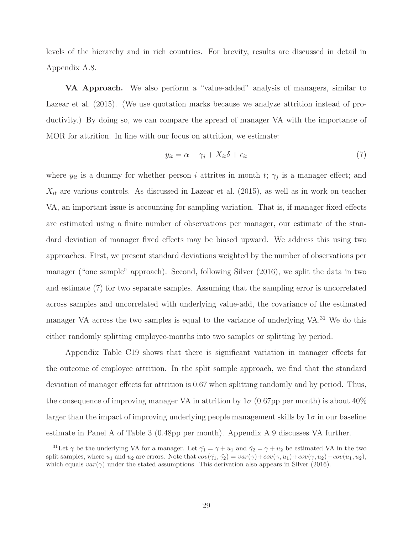levels of the hierarchy and in rich countries. For brevity, results are discussed in detail in Appendix A.8.

**VA Approach.** We also perform a "value-added" analysis of managers, similar to Lazear et al. (2015). (We use quotation marks because we analyze attrition instead of productivity.) By doing so, we can compare the spread of manager VA with the importance of MOR for attrition. In line with our focus on attrition, we estimate:

$$
y_{it} = \alpha + \gamma_j + X_{it}\delta + \epsilon_{it} \tag{7}
$$

where  $y_{it}$  is a dummy for whether person i attrites in month t;  $\gamma_j$  is a manager effect; and  $X_{it}$  are various controls. As discussed in Lazear et al. (2015), as well as in work on teacher VA, an important issue is accounting for sampling variation. That is, if manager fixed effects are estimated using a finite number of observations per manager, our estimate of the standard deviation of manager fixed effects may be biased upward. We address this using two approaches. First, we present standard deviations weighted by the number of observations per manager ("one sample" approach). Second, following Silver (2016), we split the data in two and estimate (7) for two separate samples. Assuming that the sampling error is uncorrelated across samples and uncorrelated with underlying value-add, the covariance of the estimated manager VA across the two samples is equal to the variance of underlying VA.<sup>31</sup> We do this either randomly splitting employee-months into two samples or splitting by period.

Appendix Table C19 shows that there is significant variation in manager effects for the outcome of employee attrition. In the split sample approach, we find that the standard deviation of manager effects for attrition is 0.67 when splitting randomly and by period. Thus, the consequence of improving manager VA in attrition by  $1\sigma$  (0.67pp per month) is about 40% larger than the impact of improving underlying people management skills by  $1\sigma$  in our baseline estimate in Panel A of Table 3 (0.48pp per month). Appendix A.9 discusses VA further.

<sup>&</sup>lt;sup>31</sup>Let  $\gamma$  be the underlying VA for a manager. Let  $\hat{\gamma_1} = \gamma + u_1$  and  $\hat{\gamma_2} = \gamma + u_2$  be estimated VA in the two split samples, where  $u_1$  and  $u_2$  are errors. Note that  $cov(\hat{\gamma}_1, \hat{\gamma}_2) = var(\gamma) + cov(\gamma, u_1) + cov(\gamma, u_2) + cov(u_1, u_2)$ , which equals  $var(\gamma)$  under the stated assumptions. This derivation also appears in Silver (2016).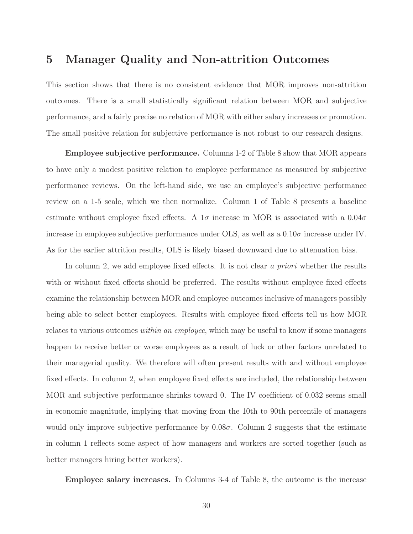## **5 Manager Quality and Non-attrition Outcomes**

This section shows that there is no consistent evidence that MOR improves non-attrition outcomes. There is a small statistically significant relation between MOR and subjective performance, and a fairly precise no relation of MOR with either salary increases or promotion. The small positive relation for subjective performance is not robust to our research designs.

**Employee subjective performance.** Columns 1-2 of Table 8 show that MOR appears to have only a modest positive relation to employee performance as measured by subjective performance reviews. On the left-hand side, we use an employee's subjective performance review on a 1-5 scale, which we then normalize. Column 1 of Table 8 presents a baseline estimate without employee fixed effects. A  $1\sigma$  increase in MOR is associated with a  $0.04\sigma$ increase in employee subjective performance under OLS, as well as a  $0.10\sigma$  increase under IV. As for the earlier attrition results, OLS is likely biased downward due to attenuation bias.

In column 2, we add employee fixed effects. It is not clear a priori whether the results with or without fixed effects should be preferred. The results without employee fixed effects examine the relationship between MOR and employee outcomes inclusive of managers possibly being able to select better employees. Results with employee fixed effects tell us how MOR relates to various outcomes within an employee, which may be useful to know if some managers happen to receive better or worse employees as a result of luck or other factors unrelated to their managerial quality. We therefore will often present results with and without employee fixed effects. In column 2, when employee fixed effects are included, the relationship between MOR and subjective performance shrinks toward 0. The IV coefficient of 0.032 seems small in economic magnitude, implying that moving from the 10th to 90th percentile of managers would only improve subjective performance by  $0.08\sigma$ . Column 2 suggests that the estimate in column 1 reflects some aspect of how managers and workers are sorted together (such as better managers hiring better workers).

**Employee salary increases.** In Columns 3-4 of Table 8, the outcome is the increase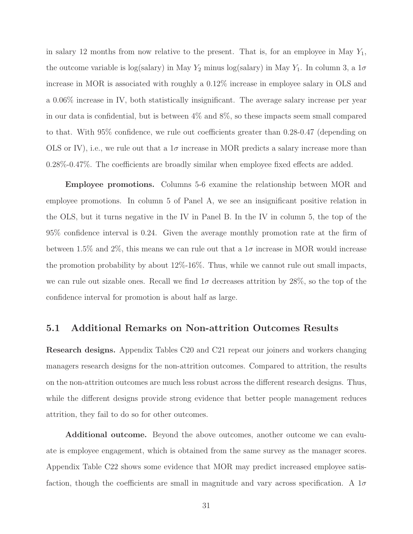in salary 12 months from now relative to the present. That is, for an employee in May  $Y_1$ , the outcome variable is log(salary) in May  $Y_2$  minus log(salary) in May  $Y_1$ . In column 3, a  $1\sigma$ increase in MOR is associated with roughly a 0.12% increase in employee salary in OLS and a 0.06% increase in IV, both statistically insignificant. The average salary increase per year in our data is confidential, but is between 4% and 8%, so these impacts seem small compared to that. With 95% confidence, we rule out coefficients greater than 0.28-0.47 (depending on OLS or IV), i.e., we rule out that a  $1\sigma$  increase in MOR predicts a salary increase more than 0.28%-0.47%. The coefficients are broadly similar when employee fixed effects are added.

**Employee promotions.** Columns 5-6 examine the relationship between MOR and employee promotions. In column 5 of Panel A, we see an insignificant positive relation in the OLS, but it turns negative in the IV in Panel B. In the IV in column 5, the top of the 95% confidence interval is 0.24. Given the average monthly promotion rate at the firm of between 1.5% and 2%, this means we can rule out that a  $1\sigma$  increase in MOR would increase the promotion probability by about 12%-16%. Thus, while we cannot rule out small impacts, we can rule out sizable ones. Recall we find  $1\sigma$  decreases attrition by 28%, so the top of the confidence interval for promotion is about half as large.

## **5.1 Additional Remarks on Non-attrition Outcomes Results**

**Research designs.** Appendix Tables C20 and C21 repeat our joiners and workers changing managers research designs for the non-attrition outcomes. Compared to attrition, the results on the non-attrition outcomes are much less robust across the different research designs. Thus, while the different designs provide strong evidence that better people management reduces attrition, they fail to do so for other outcomes.

**Additional outcome.** Beyond the above outcomes, another outcome we can evaluate is employee engagement, which is obtained from the same survey as the manager scores. Appendix Table C22 shows some evidence that MOR may predict increased employee satisfaction, though the coefficients are small in magnitude and vary across specification. A  $1\sigma$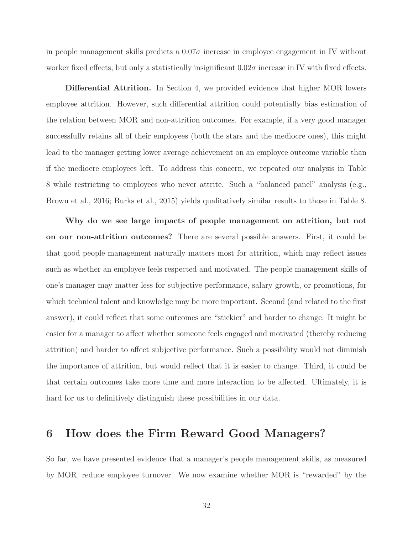in people management skills predicts a  $0.07\sigma$  increase in employee engagement in IV without worker fixed effects, but only a statistically insignificant  $0.02\sigma$  increase in IV with fixed effects.

**Differential Attrition.** In Section 4, we provided evidence that higher MOR lowers employee attrition. However, such differential attrition could potentially bias estimation of the relation between MOR and non-attrition outcomes. For example, if a very good manager successfully retains all of their employees (both the stars and the mediocre ones), this might lead to the manager getting lower average achievement on an employee outcome variable than if the mediocre employees left. To address this concern, we repeated our analysis in Table 8 while restricting to employees who never attrite. Such a "balanced panel" analysis (e.g., Brown et al., 2016; Burks et al., 2015) yields qualitatively similar results to those in Table 8.

**Why do we see large impacts of people management on attrition, but not on our non-attrition outcomes?** There are several possible answers. First, it could be that good people management naturally matters most for attrition, which may reflect issues such as whether an employee feels respected and motivated. The people management skills of one's manager may matter less for subjective performance, salary growth, or promotions, for which technical talent and knowledge may be more important. Second (and related to the first answer), it could reflect that some outcomes are "stickier" and harder to change. It might be easier for a manager to affect whether someone feels engaged and motivated (thereby reducing attrition) and harder to affect subjective performance. Such a possibility would not diminish the importance of attrition, but would reflect that it is easier to change. Third, it could be that certain outcomes take more time and more interaction to be affected. Ultimately, it is hard for us to definitively distinguish these possibilities in our data.

## **6 How does the Firm Reward Good Managers?**

So far, we have presented evidence that a manager's people management skills, as measured by MOR, reduce employee turnover. We now examine whether MOR is "rewarded" by the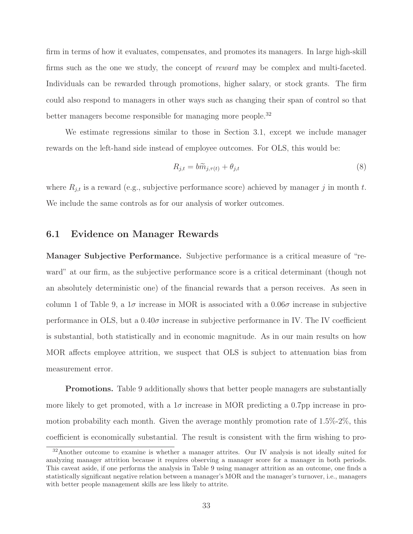firm in terms of how it evaluates, compensates, and promotes its managers. In large high-skill firms such as the one we study, the concept of reward may be complex and multi-faceted. Individuals can be rewarded through promotions, higher salary, or stock grants. The firm could also respond to managers in other ways such as changing their span of control so that better managers become responsible for managing more people.<sup>32</sup>

We estimate regressions similar to those in Section 3.1, except we include manager rewards on the left-hand side instead of employee outcomes. For OLS, this would be:

$$
R_{j,t} = b\widetilde{m}_{j,\tau(t)} + \theta_{j,t} \tag{8}
$$

where  $R_{j,t}$  is a reward (e.g., subjective performance score) achieved by manager j in month t. We include the same controls as for our analysis of worker outcomes.

#### **6.1 Evidence on Manager Rewards**

**Manager Subjective Performance.** Subjective performance is a critical measure of "reward" at our firm, as the subjective performance score is a critical determinant (though not an absolutely deterministic one) of the financial rewards that a person receives. As seen in column 1 of Table 9, a  $1\sigma$  increase in MOR is associated with a  $0.06\sigma$  increase in subjective performance in OLS, but a  $0.40\sigma$  increase in subjective performance in IV. The IV coefficient is substantial, both statistically and in economic magnitude. As in our main results on how MOR affects employee attrition, we suspect that OLS is subject to attenuation bias from measurement error.

**Promotions.** Table 9 additionally shows that better people managers are substantially more likely to get promoted, with a  $1\sigma$  increase in MOR predicting a 0.7pp increase in promotion probability each month. Given the average monthly promotion rate of 1.5%-2%, this coefficient is economically substantial. The result is consistent with the firm wishing to pro-

 $32$ Another outcome to examine is whether a manager attrites. Our IV analysis is not ideally suited for analyzing manager attrition because it requires observing a manager score for a manager in both periods. This caveat aside, if one performs the analysis in Table 9 using manager attrition as an outcome, one finds a statistically significant negative relation between a manager's MOR and the manager's turnover, i.e., managers with better people management skills are less likely to attrite.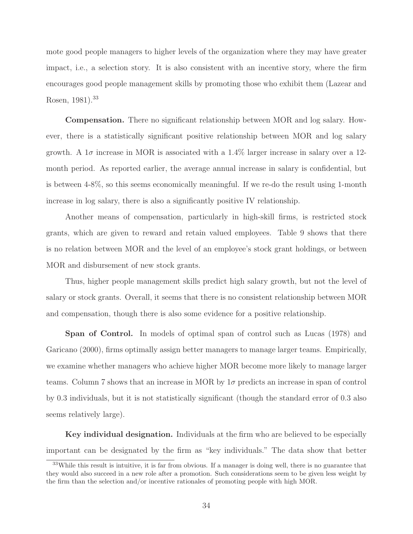mote good people managers to higher levels of the organization where they may have greater impact, i.e., a selection story. It is also consistent with an incentive story, where the firm encourages good people management skills by promoting those who exhibit them (Lazear and Rosen, 1981).<sup>33</sup>

**Compensation.** There no significant relationship between MOR and log salary. However, there is a statistically significant positive relationship between MOR and log salary growth. A  $1\sigma$  increase in MOR is associated with a  $1.4\%$  larger increase in salary over a 12month period. As reported earlier, the average annual increase in salary is confidential, but is between 4-8%, so this seems economically meaningful. If we re-do the result using 1-month increase in log salary, there is also a significantly positive IV relationship.

Another means of compensation, particularly in high-skill firms, is restricted stock grants, which are given to reward and retain valued employees. Table 9 shows that there is no relation between MOR and the level of an employee's stock grant holdings, or between MOR and disbursement of new stock grants.

Thus, higher people management skills predict high salary growth, but not the level of salary or stock grants. Overall, it seems that there is no consistent relationship between MOR and compensation, though there is also some evidence for a positive relationship.

**Span of Control.** In models of optimal span of control such as Lucas (1978) and Garicano (2000), firms optimally assign better managers to manage larger teams. Empirically, we examine whether managers who achieve higher MOR become more likely to manage larger teams. Column 7 shows that an increase in MOR by 1σ predicts an increase in span of control by 0.3 individuals, but it is not statistically significant (though the standard error of 0.3 also seems relatively large).

**Key individual designation.** Individuals at the firm who are believed to be especially important can be designated by the firm as "key individuals." The data show that better

<sup>33</sup>While this result is intuitive, it is far from obvious. If a manager is doing well, there is no guarantee that they would also succeed in a new role after a promotion. Such considerations seem to be given less weight by the firm than the selection and/or incentive rationales of promoting people with high MOR.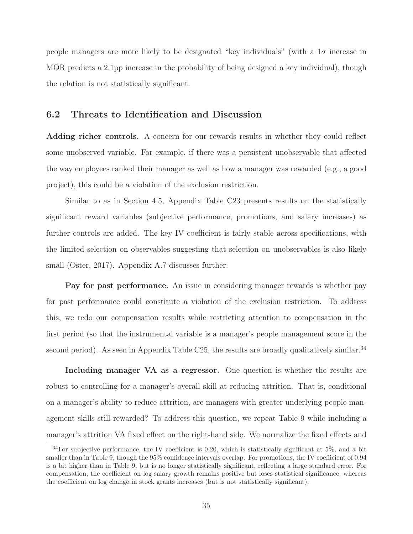people managers are more likely to be designated "key individuals" (with a  $1\sigma$  increase in MOR predicts a 2.1pp increase in the probability of being designed a key individual), though the relation is not statistically significant.

### **6.2 Threats to Identification and Discussion**

Adding richer controls. A concern for our rewards results in whether they could reflect some unobserved variable. For example, if there was a persistent unobservable that affected the way employees ranked their manager as well as how a manager was rewarded (e.g., a good project), this could be a violation of the exclusion restriction.

Similar to as in Section 4.5, Appendix Table C23 presents results on the statistically significant reward variables (subjective performance, promotions, and salary increases) as further controls are added. The key IV coefficient is fairly stable across specifications, with the limited selection on observables suggesting that selection on unobservables is also likely small (Oster, 2017). Appendix A.7 discusses further.

**Pay for past performance.** An issue in considering manager rewards is whether pay for past performance could constitute a violation of the exclusion restriction. To address this, we redo our compensation results while restricting attention to compensation in the first period (so that the instrumental variable is a manager's people management score in the second period). As seen in Appendix Table C25, the results are broadly qualitatively similar.<sup>34</sup>

**Including manager VA as a regressor.** One question is whether the results are robust to controlling for a manager's overall skill at reducing attrition. That is, conditional on a manager's ability to reduce attrition, are managers with greater underlying people management skills still rewarded? To address this question, we repeat Table 9 while including a manager's attrition VA fixed effect on the right-hand side. We normalize the fixed effects and

 $34$ For subjective performance, the IV coefficient is 0.20, which is statistically significant at 5%, and a bit smaller than in Table 9, though the 95% confidence intervals overlap. For promotions, the IV coefficient of 0.94 is a bit higher than in Table 9, but is no longer statistically significant, reflecting a large standard error. For compensation, the coefficient on log salary growth remains positive but loses statistical significance, whereas the coefficient on log change in stock grants increases (but is not statistically significant).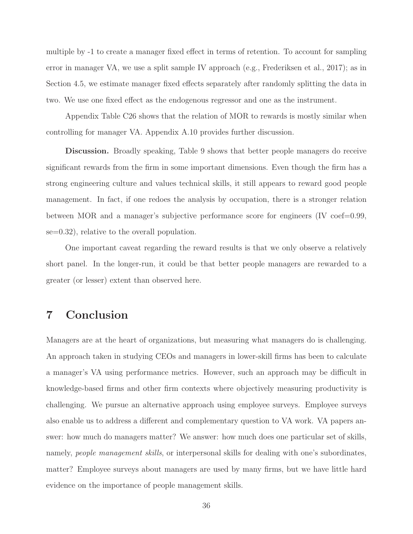multiple by -1 to create a manager fixed effect in terms of retention. To account for sampling error in manager VA, we use a split sample IV approach (e.g., Frederiksen et al., 2017); as in Section 4.5, we estimate manager fixed effects separately after randomly splitting the data in two. We use one fixed effect as the endogenous regressor and one as the instrument.

Appendix Table C26 shows that the relation of MOR to rewards is mostly similar when controlling for manager VA. Appendix A.10 provides further discussion.

**Discussion.** Broadly speaking, Table 9 shows that better people managers do receive significant rewards from the firm in some important dimensions. Even though the firm has a strong engineering culture and values technical skills, it still appears to reward good people management. In fact, if one redoes the analysis by occupation, there is a stronger relation between MOR and a manager's subjective performance score for engineers  $(IV \text{ coef}=0.99,$ se=0.32), relative to the overall population.

One important caveat regarding the reward results is that we only observe a relatively short panel. In the longer-run, it could be that better people managers are rewarded to a greater (or lesser) extent than observed here.

# **7 Conclusion**

Managers are at the heart of organizations, but measuring what managers do is challenging. An approach taken in studying CEOs and managers in lower-skill firms has been to calculate a manager's VA using performance metrics. However, such an approach may be difficult in knowledge-based firms and other firm contexts where objectively measuring productivity is challenging. We pursue an alternative approach using employee surveys. Employee surveys also enable us to address a different and complementary question to VA work. VA papers answer: how much do managers matter? We answer: how much does one particular set of skills, namely, *people management skills*, or interpersonal skills for dealing with one's subordinates, matter? Employee surveys about managers are used by many firms, but we have little hard evidence on the importance of people management skills.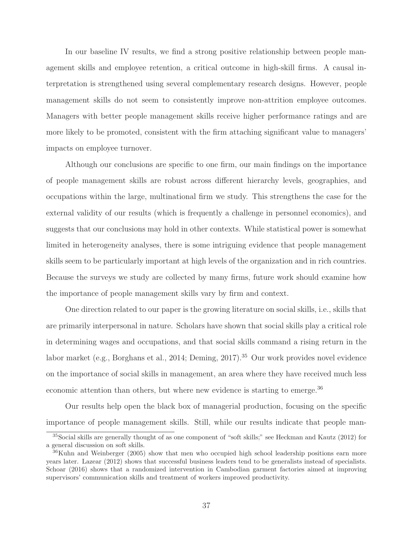In our baseline IV results, we find a strong positive relationship between people management skills and employee retention, a critical outcome in high-skill firms. A causal interpretation is strengthened using several complementary research designs. However, people management skills do not seem to consistently improve non-attrition employee outcomes. Managers with better people management skills receive higher performance ratings and are more likely to be promoted, consistent with the firm attaching significant value to managers' impacts on employee turnover.

Although our conclusions are specific to one firm, our main findings on the importance of people management skills are robust across different hierarchy levels, geographies, and occupations within the large, multinational firm we study. This strengthens the case for the external validity of our results (which is frequently a challenge in personnel economics), and suggests that our conclusions may hold in other contexts. While statistical power is somewhat limited in heterogeneity analyses, there is some intriguing evidence that people management skills seem to be particularly important at high levels of the organization and in rich countries. Because the surveys we study are collected by many firms, future work should examine how the importance of people management skills vary by firm and context.

One direction related to our paper is the growing literature on social skills, i.e., skills that are primarily interpersonal in nature. Scholars have shown that social skills play a critical role in determining wages and occupations, and that social skills command a rising return in the labor market (e.g., Borghans et al., 2014; Deming, 2017).<sup>35</sup> Our work provides novel evidence on the importance of social skills in management, an area where they have received much less economic attention than others, but where new evidence is starting to emerge.<sup>36</sup>

Our results help open the black box of managerial production, focusing on the specific importance of people management skills. Still, while our results indicate that people man-

<sup>&</sup>lt;sup>35</sup>Social skills are generally thought of as one component of "soft skills;" see Heckman and Kautz (2012) for a general discussion on soft skills.

<sup>36</sup>Kuhn and Weinberger (2005) show that men who occupied high school leadership positions earn more years later. Lazear (2012) shows that successful business leaders tend to be generalists instead of specialists. Schoar (2016) shows that a randomized intervention in Cambodian garment factories aimed at improving supervisors' communication skills and treatment of workers improved productivity.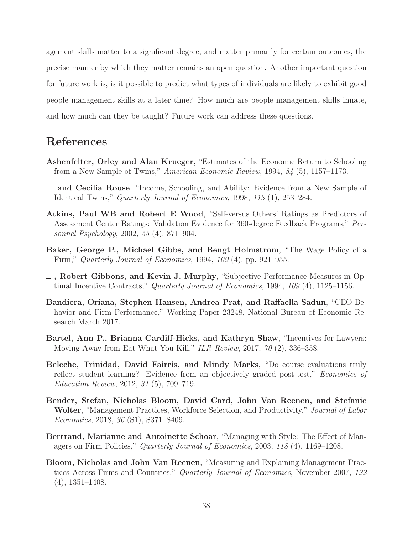agement skills matter to a significant degree, and matter primarily for certain outcomes, the precise manner by which they matter remains an open question. Another important question for future work is, is it possible to predict what types of individuals are likely to exhibit good people management skills at a later time? How much are people management skills innate, and how much can they be taught? Future work can address these questions.

# **References**

- **Ashenfelter, Orley and Alan Krueger**, "Estimates of the Economic Return to Schooling from a New Sample of Twins," American Economic Review, 1994, 84 (5), 1157–1173.
- **and Cecilia Rouse**, "Income, Schooling, and Ability: Evidence from a New Sample of Identical Twins," Quarterly Journal of Economics, 1998, 113 (1), 253–284.
- **Atkins, Paul WB and Robert E Wood**, "Self-versus Others' Ratings as Predictors of Assessment Center Ratings: Validation Evidence for 360-degree Feedback Programs," Personnel Psychology, 2002, 55 (4), 871–904.
- **Baker, George P., Michael Gibbs, and Bengt Holmstrom**, "The Wage Policy of a Firm," Quarterly Journal of Economics, 1994, 109 (4), pp. 921–955.
- **, Robert Gibbons, and Kevin J. Murphy**, "Subjective Performance Measures in Optimal Incentive Contracts," Quarterly Journal of Economics, 1994, 109 (4), 1125–1156.
- **Bandiera, Oriana, Stephen Hansen, Andrea Prat, and Raffaella Sadun**, "CEO Behavior and Firm Performance," Working Paper 23248, National Bureau of Economic Research March 2017.
- **Bartel, Ann P., Brianna Cardiff-Hicks, and Kathryn Shaw**, "Incentives for Lawyers: Moving Away from Eat What You Kill," ILR Review, 2017, 70 (2), 336–358.
- **Beleche, Trinidad, David Fairris, and Mindy Marks**, "Do course evaluations truly reflect student learning? Evidence from an objectively graded post-test," Economics of Education Review, 2012, 31 (5), 709–719.
- **Bender, Stefan, Nicholas Bloom, David Card, John Van Reenen, and Stefanie Wolter**, "Management Practices, Workforce Selection, and Productivity," Journal of Labor Economics, 2018, 36 (S1), S371–S409.
- **Bertrand, Marianne and Antoinette Schoar**, "Managing with Style: The Effect of Managers on Firm Policies," Quarterly Journal of Economics, 2003, 118 (4), 1169–1208.
- **Bloom, Nicholas and John Van Reenen**, "Measuring and Explaining Management Practices Across Firms and Countries," Quarterly Journal of Economics, November 2007, 122 (4), 1351–1408.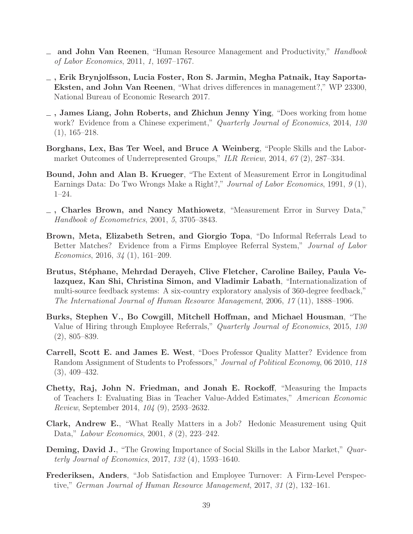- **and John Van Reenen**, "Human Resource Management and Productivity," Handbook of Labor Economics, 2011, 1, 1697–1767.
- **, Erik Brynjolfsson, Lucia Foster, Ron S. Jarmin, Megha Patnaik, Itay Saporta-Eksten, and John Van Reenen**, "What drives differences in management?," WP 23300, National Bureau of Economic Research 2017.
- **, James Liang, John Roberts, and Zhichun Jenny Ying**, "Does working from home work? Evidence from a Chinese experiment," Quarterly Journal of Economics, 2014, 130  $(1), 165-218.$
- **Borghans, Lex, Bas Ter Weel, and Bruce A Weinberg**, "People Skills and the Labormarket Outcomes of Underrepresented Groups," ILR Review, 2014, 67 (2), 287–334.
- **Bound, John and Alan B. Krueger**, "The Extent of Measurement Error in Longitudinal Earnings Data: Do Two Wrongs Make a Right?," Journal of Labor Economics, 1991, 9 (1), 1–24.
- **, Charles Brown, and Nancy Mathiowetz**, "Measurement Error in Survey Data," Handbook of Econometrics, 2001, 5, 3705–3843.
- **Brown, Meta, Elizabeth Setren, and Giorgio Topa**, "Do Informal Referrals Lead to Better Matches? Evidence from a Firms Employee Referral System," Journal of Labor Economics, 2016, 34 (1), 161–209.
- Brutus, Stéphane, Mehrdad Derayeh, Clive Fletcher, Caroline Bailey, Paula Ve**lazquez, Kan Shi, Christina Simon, and Vladimir Labath**, "Internationalization of multi-source feedback systems: A six-country exploratory analysis of 360-degree feedback," The International Journal of Human Resource Management, 2006, 17 (11), 1888–1906.
- **Burks, Stephen V., Bo Cowgill, Mitchell Hoffman, and Michael Housman**, "The Value of Hiring through Employee Referrals," Quarterly Journal of Economics, 2015, 130 (2), 805–839.
- **Carrell, Scott E. and James E. West**, "Does Professor Quality Matter? Evidence from Random Assignment of Students to Professors," Journal of Political Economy, 06 2010, 118 (3), 409–432.
- **Chetty, Raj, John N. Friedman, and Jonah E. Rockoff**, "Measuring the Impacts of Teachers I: Evaluating Bias in Teacher Value-Added Estimates," American Economic Review, September 2014, 104 (9), 2593–2632.
- **Clark, Andrew E.**, "What Really Matters in a Job? Hedonic Measurement using Quit Data," Labour Economics, 2001, 8 (2), 223–242.
- **Deming, David J.**, "The Growing Importance of Social Skills in the Labor Market," *Quar*terly Journal of Economics, 2017, 132 (4), 1593–1640.
- **Frederiksen, Anders**, "Job Satisfaction and Employee Turnover: A Firm-Level Perspective," German Journal of Human Resource Management, 2017, 31 (2), 132–161.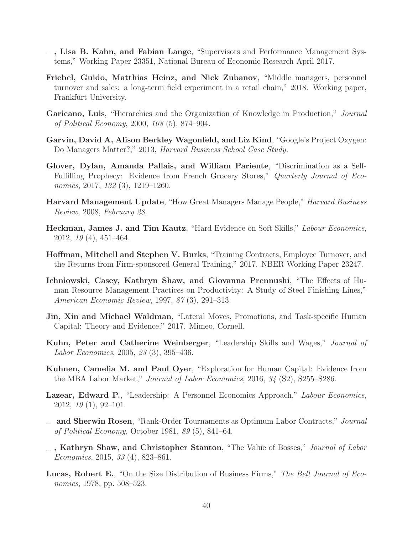- **, Lisa B. Kahn, and Fabian Lange**, "Supervisors and Performance Management Systems," Working Paper 23351, National Bureau of Economic Research April 2017.
- **Friebel, Guido, Matthias Heinz, and Nick Zubanov**, "Middle managers, personnel turnover and sales: a long-term field experiment in a retail chain," 2018. Working paper, Frankfurt University.
- **Garicano, Luis**, "Hierarchies and the Organization of Knowledge in Production," Journal of Political Economy, 2000, 108 (5), 874–904.
- **Garvin, David A, Alison Berkley Wagonfeld, and Liz Kind**, "Google's Project Oxygen: Do Managers Matter?," 2013, Harvard Business School Case Study.
- **Glover, Dylan, Amanda Pallais, and William Pariente**, "Discrimination as a Self-Fulfilling Prophecy: Evidence from French Grocery Stores," Quarterly Journal of Economics, 2017, 132 (3), 1219–1260.
- **Harvard Management Update**, "How Great Managers Manage People," Harvard Business Review, 2008, February 28.
- **Heckman, James J. and Tim Kautz**, "Hard Evidence on Soft Skills," Labour Economics, 2012, 19 (4), 451–464.
- **Hoffman, Mitchell and Stephen V. Burks**, "Training Contracts, Employee Turnover, and the Returns from Firm-sponsored General Training," 2017. NBER Working Paper 23247.
- **Ichniowski, Casey, Kathryn Shaw, and Giovanna Prennushi**, "The Effects of Human Resource Management Practices on Productivity: A Study of Steel Finishing Lines," American Economic Review, 1997, 87 (3), 291–313.
- **Jin, Xin and Michael Waldman**, "Lateral Moves, Promotions, and Task-specific Human Capital: Theory and Evidence," 2017. Mimeo, Cornell.
- **Kuhn, Peter and Catherine Weinberger**, "Leadership Skills and Wages," Journal of Labor Economics, 2005, 23 (3), 395–436.
- **Kuhnen, Camelia M. and Paul Oyer**, "Exploration for Human Capital: Evidence from the MBA Labor Market," Journal of Labor Economics, 2016, 34 (S2), S255–S286.
- Lazear, Edward P., "Leadership: A Personnel Economics Approach," Labour Economics, 2012, 19 (1), 92–101.
- **and Sherwin Rosen**, "Rank-Order Tournaments as Optimum Labor Contracts," Journal of Political Economy, October 1981, 89 (5), 841–64.
- **, Kathryn Shaw, and Christopher Stanton**, "The Value of Bosses," Journal of Labor Economics, 2015, 33 (4), 823–861.
- **Lucas, Robert E.**, "On the Size Distribution of Business Firms," The Bell Journal of Economics, 1978, pp. 508–523.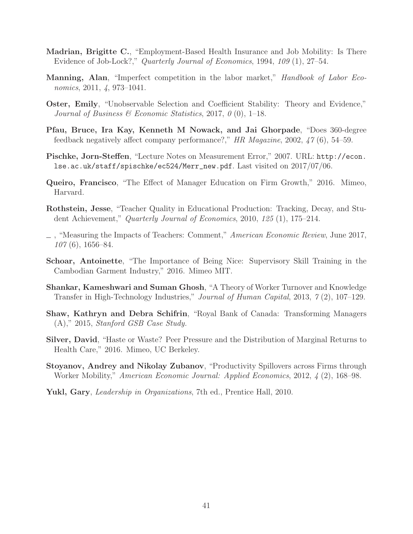- **Madrian, Brigitte C.**, "Employment-Based Health Insurance and Job Mobility: Is There Evidence of Job-Lock?," Quarterly Journal of Economics, 1994, 109 (1), 27–54.
- **Manning, Alan**, "Imperfect competition in the labor market," Handbook of Labor Economics, 2011, 4, 973–1041.
- **Oster, Emily**, "Unobservable Selection and Coefficient Stability: Theory and Evidence," Journal of Business  $\mathscr B$  Economic Statistics, 2017, 0 (0), 1–18.
- **Pfau, Bruce, Ira Kay, Kenneth M Nowack, and Jai Ghorpade**, "Does 360-degree feedback negatively affect company performance?," HR Magazine, 2002,  $47(6)$ , 54–59.
- **Pischke, Jorn-Steffen**, "Lecture Notes on Measurement Error," 2007. URL: http://econ. lse.ac.uk/staff/spischke/ec524/Merr\_new.pdf. Last visited on 2017/07/06.
- **Queiro, Francisco**, "The Effect of Manager Education on Firm Growth," 2016. Mimeo, Harvard.
- **Rothstein, Jesse**, "Teacher Quality in Educational Production: Tracking, Decay, and Student Achievement," Quarterly Journal of Economics, 2010, 125 (1), 175–214.
- $\Box$ , "Measuring the Impacts of Teachers: Comment," American Economic Review, June 2017, 107 (6), 1656–84.
- **Schoar, Antoinette**, "The Importance of Being Nice: Supervisory Skill Training in the Cambodian Garment Industry," 2016. Mimeo MIT.
- **Shankar, Kameshwari and Suman Ghosh**, "A Theory of Worker Turnover and Knowledge Transfer in High-Technology Industries," Journal of Human Capital, 2013, 7 (2), 107–129.
- **Shaw, Kathryn and Debra Schifrin**, "Royal Bank of Canada: Transforming Managers (A)," 2015, Stanford GSB Case Study.
- **Silver, David**, "Haste or Waste? Peer Pressure and the Distribution of Marginal Returns to Health Care," 2016. Mimeo, UC Berkeley.
- **Stoyanov, Andrey and Nikolay Zubanov**, "Productivity Spillovers across Firms through Worker Mobility," American Economic Journal: Applied Economics, 2012, 4 (2), 168–98.
- **Yukl, Gary**, Leadership in Organizations, 7th ed., Prentice Hall, 2010.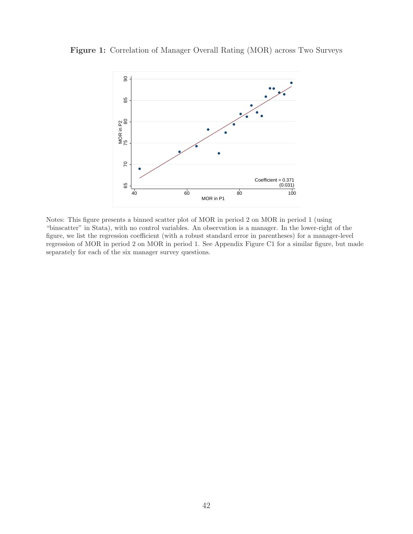

**Figure 1:** Correlation of Manager Overall Rating (MOR) across Two Surveys

Notes: This figure presents a binned scatter plot of MOR in period 2 on MOR in period 1 (using "binscatter" in Stata), with no control variables. An observation is a manager. In the lower-right of the figure, we list the regression coefficient (with a robust standard error in parentheses) for a manager-level regression of MOR in period 2 on MOR in period 1. See Appendix Figure C1 for a similar figure, but made separately for each of the six manager survey questions.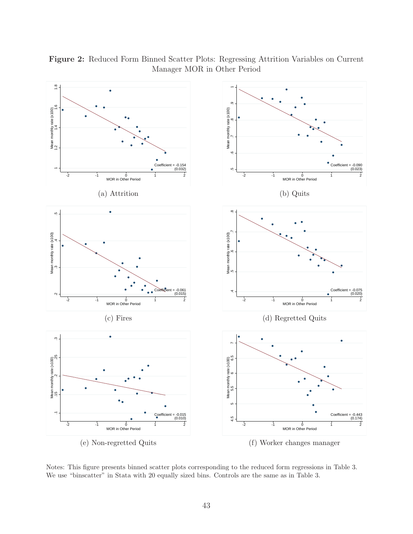

**Figure 2:** Reduced Form Binned Scatter Plots: Regressing Attrition Variables on Current Manager MOR in Other Period

Notes: This figure presents binned scatter plots corresponding to the reduced form regressions in Table 3. We use "binscatter" in Stata with 20 equally sized bins. Controls are the same as in Table 3.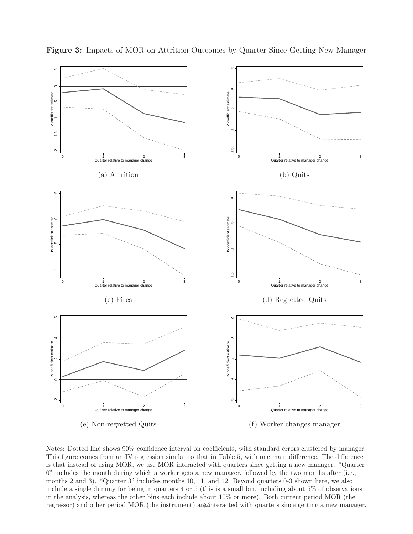

**Figure 3:** Impacts of MOR on Attrition Outcomes by Quarter Since Getting New Manager

Notes: Dotted line shows 90% confidence interval on coefficients, with standard errors clustered by manager. This figure comes from an IV regression similar to that in Table 5, with one main difference. The difference is that instead of using MOR, we use MOR interacted with quarters since getting a new manager. "Quarter 0" includes the month during which a worker gets a new manager, followed by the two months after (i.e., months 2 and 3). "Quarter 3" includes months 10, 11, and 12. Beyond quarters 0-3 shown here, we also include a single dummy for being in quarters 4 or 5 (this is a small bin, including about 5% of observations in the analysis, whereas the other bins each include about 10% or more). Both current period MOR (the regressor) and other period MOR (the instrument) are 4 interacted with quarters since getting a new manager.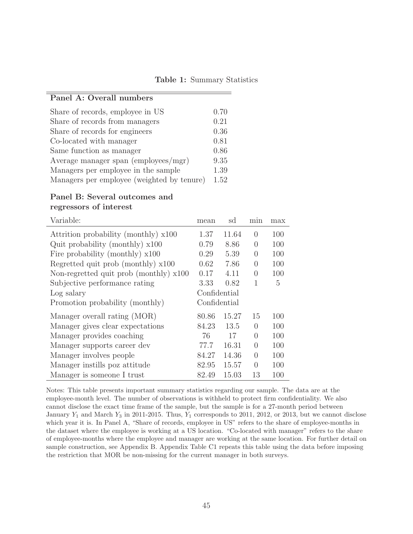**Table 1:** Summary Statistics

## **Panel A: Overall numbers**

| Share of records, employee in US           | 0.70 |
|--------------------------------------------|------|
| Share of records from managers             | 0.21 |
| Share of records for engineers             | 0.36 |
| Co-located with manager                    | 0.81 |
| Same function as manager                   | 0.86 |
| Average manager span (employees/mgr)       | 9.35 |
| Managers per employee in the sample        | 1.39 |
| Managers per employee (weighted by tenure) | 1.52 |

#### **Panel B: Several outcomes and regressors of interest**

| Variable:                                | mean         | sd    | min              | max |
|------------------------------------------|--------------|-------|------------------|-----|
| Attrition probability (monthly) x100     | 1.37         | 11.64 | $\left( \right)$ | 100 |
| Quit probability (monthly) $x100$        | 0.79         | 8.86  | $\Omega$         | 100 |
| Fire probability (monthly) $x100$        | 0.29         | 5.39  | $\Omega$         | 100 |
| Regretted quit prob (monthly) x100       | 0.62         | 7.86  | $\Omega$         | 100 |
| Non-regretted quit prob (monthly) $x100$ | 0.17         | 4.11  | $\theta$         | 100 |
| Subjective performance rating            | 3.33         | 0.82  | 1                | 5   |
| Log salary                               | Confidential |       |                  |     |
| Promotion probability (monthly)          | Confidential |       |                  |     |
| Manager overall rating (MOR)             | 80.86        | 15.27 | 15               | 100 |
| Manager gives clear expectations         | 84.23        | 13.5  | $\Omega$         | 100 |
| Manager provides coaching                | 76           | 17    | $\Omega$         | 100 |
| Manager supports career dev              | 77.7         | 16.31 | $\Omega$         | 100 |
| Manager involves people                  | 84.27        | 14.36 | $\theta$         | 100 |
| Manager instills poz attitude            | 82.95        | 15.57 | $\Omega$         | 100 |
| Manager is someone I trust               | 82.49        | 15.03 | 13               | 100 |

Notes: This table presents important summary statistics regarding our sample. The data are at the employee-month level. The number of observations is withheld to protect firm confidentiality. We also cannot disclose the exact time frame of the sample, but the sample is for a 27-month period between January  $Y_1$  and March  $Y_3$  in 2011-2015. Thus,  $Y_1$  corresponds to 2011, 2012, or 2013, but we cannot disclose which year it is. In Panel A, "Share of records, employee in US" refers to the share of employee-months in the dataset where the employee is working at a US location. "Co-located with manager" refers to the share of employee-months where the employee and manager are working at the same location. For further detail on sample construction, see Appendix B. Appendix Table C1 repeats this table using the data before imposing the restriction that MOR be non-missing for the current manager in both surveys.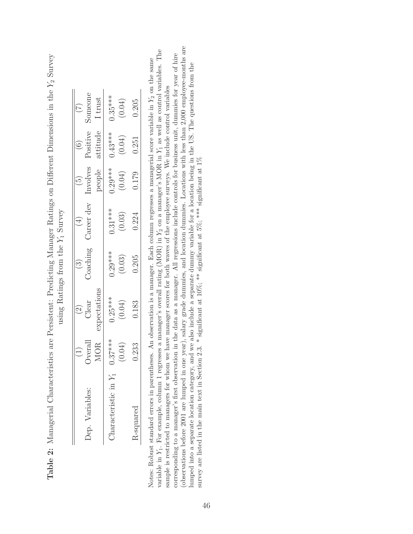|                       | $\bigoplus$ | $\widehat{c}$ |           |            | $\widehat{\mathbb{C}}$ |           | $\widetilde{C}$ |
|-----------------------|-------------|---------------|-----------|------------|------------------------|-----------|-----------------|
| Dep. Variables:       | Overalı     | Clear         | Coaching  | Career dev | Involves               | Positive  | $S$ omeon       |
|                       | <b>MOR</b>  | expectations  |           |            | people                 | attitude  | I trust         |
| Characteristic in $Y$ | $0.37***$   | $0.25***$     | $0.29***$ | $0.31***$  | $0.29***$              | $0.43***$ | $0.35***$       |
|                       | (0.04)      | (0.04)        | (0.03)    | (0.03)     | (0.04)                 | (0.04)    | (0.04)          |
| R-squared             | 0.233       | 0.183         | 0.205     | 0.224      | 0.179                  | 0.251     | 0.205           |

| $V_2$ $Q_{11}$                                       |                     |
|------------------------------------------------------|---------------------|
|                                                      |                     |
|                                                      |                     |
| $\tau = 0$                                           |                     |
| イー・コード・コード                                           |                     |
| $\cdots$ in the $\cdots$<br>i                        |                     |
|                                                      |                     |
| TIOTHER ALLO THE ALL AND MANAGEMENT                  |                     |
|                                                      |                     |
| "Invariant Ratince on Difformat<br>T TO Unimers Stri | $V$ Survey          |
|                                                      |                     |
|                                                      |                     |
|                                                      |                     |
| ニ こうしょう<br>)                                         | sing Ratings from t |
| Ī                                                    |                     |
| ts are Pers                                          |                     |
|                                                      |                     |
|                                                      |                     |
|                                                      |                     |
|                                                      |                     |
| i                                                    |                     |
| י<br>ו<br>ł<br>J<br>i<br>)                           |                     |
| Ş<br>$\ddot{\phantom{a}}$                            |                     |
|                                                      |                     |
|                                                      |                     |
| $\mathbf \zeta$<br>$\frac{1}{2}$<br>ļ<br>ļ<br>I      |                     |

(observations before 2001 are lumped in one year), salary grade dummies, and location dummies. Locations with less than 2,000 employee-months are (observations before 2001 are lumped in one year), salary grade dummies, and location dummies. Locations with less than 2,000 employee-months are variable in  $Y_1$ . For example, column 1 regresses a manager's overall rating (MOR) in  $Y_2$  on a manager's MOR in  $Y_1$  as well as control variables. The variable in Y1. For example, column 1 regresses a manager's overall rating (MOR) in Y2 on a manager's MOR in Y1 as well as control variables. The corresponding to a manager's first observation in the data as a manager. All regressions include controls for business unit, dummies for year of hire corresponding to a manager's first observation in the data as a manager. All regressions include controls for business unit, dummies for year of hire Notes: Robust standard errors in parentheses. An observation is a manager. Each column regresses a managerial score variable in  $Y_2$  on the same Notes: Robust standard errors in parentheses. An observation is a manager. Each column regresses a managerial score variable in Y2 on the same lumped into a separate location category, and we also include a separate dummy variable for a location being in the US. The questions from the lumped into a separate location category, and we also include a separate dummy variable for a location being in the US. The questions from the sample is restricted to managers for whom we have manager scores for both waves of the employee surveys. We include control variables sample is restricted to managers for whom we have manager scores for both waves of the employee surveys. We include control variables survey are listed in the main text in Section 2.3. \* significant at  $10\%$ ; \*\* significant at  $5\%$ ; \*\*\* significant at  $1\%$ survey are listed in the main text in Section 2.3. \* significant at  $10\%$ ; \*\* significant at  $5\%$ ; \*\*\*\* significant at  $1\%$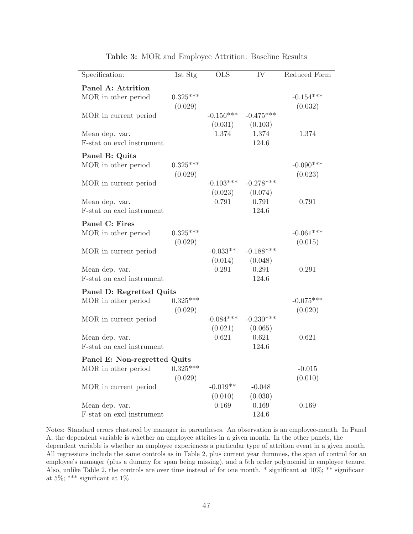| Specification:                                      | 1st Stg               | $\overline{\text{OLS}}$ | $\overline{\text{IV}}$    | Reduced Form           |
|-----------------------------------------------------|-----------------------|-------------------------|---------------------------|------------------------|
| Panel A: Attrition<br>MOR in other period           | $0.325***$<br>(0.029) |                         |                           | $-0.154***$<br>(0.032) |
| MOR in current period                               |                       | $-0.156***$<br>(0.031)  | $-0.475***$<br>(0.103)    |                        |
| Mean dep. var.<br>F-stat on excl instrument         |                       | 1.374                   | 1.374<br>124.6            | 1.374                  |
| Panel B: Quits<br>MOR in other period               | $0.325***$            |                         |                           | $-0.090***$            |
| MOR in current period                               | (0.029)               | $-0.103***$             | $-0.278***$               | (0.023)                |
| Mean dep. var.<br>F-stat on excl instrument         |                       | (0.023)<br>0.791        | (0.074)<br>0.791<br>124.6 | 0.791                  |
| Panel C: Fires<br>MOR in other period               | $0.325***$            |                         |                           | $-0.061***$            |
| MOR in current period                               | (0.029)               | $-0.033**$<br>(0.014)   | $-0.188***$<br>(0.048)    | (0.015)                |
| Mean dep. var.<br>F-stat on excl instrument         |                       | 0.291                   | 0.291<br>124.6            | 0.291                  |
| Panel D: Regretted Quits<br>MOR in other period     | $0.325***$<br>(0.029) |                         |                           | $-0.075***$<br>(0.020) |
| MOR in current period                               |                       | $-0.084***$<br>(0.021)  | $-0.230***$<br>(0.065)    |                        |
| Mean dep. var.<br>F-stat on excl instrument         |                       | 0.621                   | 0.621<br>124.6            | 0.621                  |
| Panel E: Non-regretted Quits<br>MOR in other period | $0.325***$            |                         |                           | $-0.015$               |
| MOR in current period                               | (0.029)               | $-0.019**$              | $-0.048$                  | (0.010)                |
| Mean dep. var.<br>F-stat on excl instrument         |                       | (0.010)<br>0.169        | (0.030)<br>0.169<br>124.6 | 0.169                  |
|                                                     |                       |                         |                           |                        |

**Table 3:** MOR and Employee Attrition: Baseline Results

Notes: Standard errors clustered by manager in parentheses. An observation is an employee-month. In Panel A, the dependent variable is whether an employee attrites in a given month. In the other panels, the dependent variable is whether an employee experiences a particular type of attrition event in a given month. All regressions include the same controls as in Table 2, plus current year dummies, the span of control for an employee's manager (plus a dummy for span being missing), and a 5th order polynomial in employee tenure. Also, unlike Table 2, the controls are over time instead of for one month. \* significant at 10%; \*\* significant at 5%; \*\*\* significant at 1%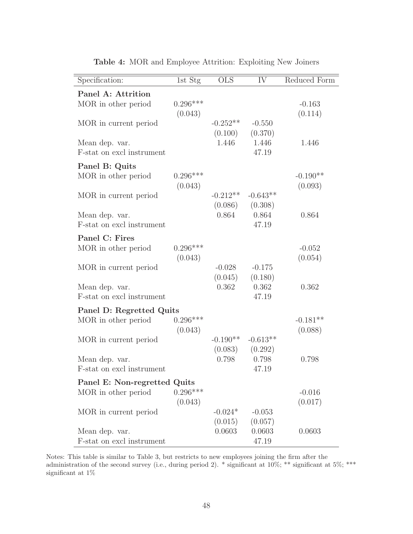| Specification:                                  | 1st Stg               | $\overline{\mathrm{OLS}}$ | IV                         | Reduced Form        |
|-------------------------------------------------|-----------------------|---------------------------|----------------------------|---------------------|
| Panel A: Attrition<br>MOR in other period       | $0.296***$<br>(0.043) |                           |                            | $-0.163$<br>(0.114) |
| MOR in current period                           |                       | $-0.252**$<br>(0.100)     | $-0.550$<br>(0.370)        |                     |
| Mean dep. var.<br>F-stat on excl instrument     |                       | 1.446                     | 1.446<br>47.19             | 1.446               |
| Panel B: Quits<br>MOR in other period           | $0.296***$            |                           |                            | $-0.190**$          |
| MOR in current period                           | (0.043)               | $-0.212**$<br>(0.086)     | $-0.643**$<br>(0.308)      | (0.093)             |
| Mean dep. var.<br>F-stat on excl instrument     |                       | 0.864                     | 0.864<br>47.19             | 0.864               |
| Panel C: Fires                                  |                       |                           |                            |                     |
| MOR in other period                             | $0.296***$<br>(0.043) |                           |                            | $-0.052$<br>(0.054) |
| MOR in current period                           |                       | $-0.028$<br>(0.045)       | $-0.175$<br>(0.180)        |                     |
| Mean dep. var.<br>F-stat on excl instrument     |                       | 0.362                     | 0.362<br>47.19             | 0.362               |
| Panel D: Regretted Quits<br>MOR in other period | $0.296***$            |                           |                            | $-0.181**$          |
| MOR in current period                           | (0.043)               | $-0.190**$<br>(0.083)     | $-0.613**$<br>(0.292)      | (0.088)             |
| Mean dep. var.<br>F-stat on excl instrument     |                       | 0.798                     | 0.798<br>47.19             | 0.798               |
| Panel E: Non-regretted Quits                    |                       |                           |                            |                     |
| MOR in other period                             | $0.296***$<br>(0.043) |                           |                            | $-0.016$<br>(0.017) |
| MOR in current period                           |                       | $-0.024*$                 | $-0.053$                   |                     |
| Mean dep. var.<br>F-stat on excl instrument     |                       | (0.015)<br>0.0603         | (0.057)<br>0.0603<br>47.19 | 0.0603              |

**Table 4:** MOR and Employee Attrition: Exploiting New Joiners

Notes: This table is similar to Table 3, but restricts to new employees joining the firm after the administration of the second survey (i.e., during period 2). \* significant at 10%; \*\* significant at 5%; \*\*\* significant at 1%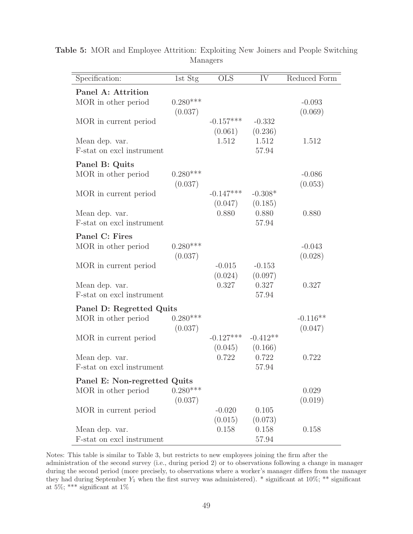| Specification:                                  | 1st Stg               | OLS                    | IV                        | Reduced Form          |
|-------------------------------------------------|-----------------------|------------------------|---------------------------|-----------------------|
| Panel A: Attrition<br>MOR in other period       | $0.280***$<br>(0.037) |                        |                           | $-0.093$<br>(0.069)   |
| MOR in current period                           |                       | $-0.157***$<br>(0.061) | $-0.332$<br>(0.236)       |                       |
| Mean dep. var.<br>F-stat on excl instrument     |                       | 1.512                  | 1.512<br>57.94            | 1.512                 |
| Panel B: Quits<br>MOR in other period           | $0.280***$            |                        |                           | $-0.086$              |
| MOR in current period                           | (0.037)               | $-0.147***$            | $-0.308*$                 | (0.053)               |
| Mean dep. var.<br>F-stat on excl instrument     |                       | (0.047)<br>0.880       | (0.185)<br>0.880<br>57.94 | 0.880                 |
| Panel C: Fires<br>MOR in other period           | $0.280***$<br>(0.037) |                        |                           | $-0.043$<br>(0.028)   |
| MOR in current period                           |                       | $-0.015$<br>(0.024)    | $-0.153$<br>(0.097)       |                       |
| Mean dep. var.<br>F-stat on excl instrument     |                       | 0.327                  | 0.327<br>57.94            | 0.327                 |
| Panel D: Regretted Quits<br>MOR in other period | $0.280***$<br>(0.037) |                        |                           | $-0.116**$<br>(0.047) |
| MOR in current period                           |                       | $-0.127***$<br>(0.045) | $-0.412**$<br>(0.166)     |                       |
| Mean dep. var.<br>F-stat on excl instrument     |                       | 0.722                  | 0.722<br>57.94            | 0.722                 |
| Panel E: Non-regretted Quits                    | $0.280***$            |                        |                           |                       |
| MOR in other period                             | (0.037)               |                        |                           | 0.029<br>(0.019)      |
| MOR in current period                           |                       | $-0.020$<br>(0.015)    | 0.105<br>(0.073)          |                       |
| Mean dep. var.<br>F-stat on excl instrument     |                       | 0.158                  | 0.158<br>57.94            | 0.158                 |

**Table 5:** MOR and Employee Attrition: Exploiting New Joiners and People Switching Managers

Notes: This table is similar to Table 3, but restricts to new employees joining the firm after the administration of the second survey (i.e., during period 2) or to observations following a change in manager during the second period (more precisely, to observations where a worker's manager differs from the manager they had during September  $Y_1$  when the first survey was administered). \* significant at 10%; \*\* significant at 5%; \*\*\* significant at 1%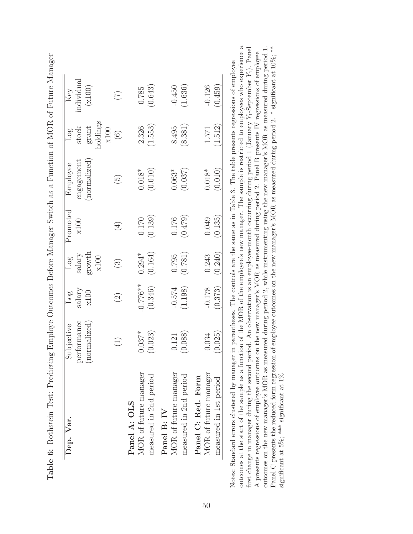| Dep. Var.              | Subjective   | Pog               | Log                    | Promoted | Employee                 | 108               | Key        |
|------------------------|--------------|-------------------|------------------------|----------|--------------------------|-------------------|------------|
|                        | performance  | salary            | salary                 | x100     | $\rm{engagent}$          | stock             | individual |
|                        | (normalized) | x100              | growth                 |          | (normalized)             | grant             | (x100)     |
|                        |              |                   | x100                   |          |                          | aoldings<br>x100  |            |
|                        |              | $\widehat{\odot}$ | $\widehat{\mathbb{C}}$ | $(\pm)$  | $\widetilde{\mathbb{G}}$ | $\widehat{\odot}$ | E          |
| Panel A: OLS           |              |                   |                        |          |                          |                   |            |
| MOR of future manager  | $0.037*$     | $-0.776**$        | $0.294*$               | 0.170    | $0.018*$                 | 2.326             | 0.785      |
| measured in 2nd period | (0.023)      | (0.346)           | (0.164)                | (0.139)  | (0.010)                  | (1.553)           | (0.643)    |
| Panel B: IV            |              |                   |                        |          |                          |                   |            |
| MOR of future manager  | 0.121        | $-0.574$          | 0.795                  | 0.176    | $0.063*$                 | 8.495             | $-0.450$   |
| measured in 2nd period | (0.088)      | (1.198)           | (0.781)                | (0.479)  | (0.037)                  | (8.381)           | (1.636)    |
| Panel C: Red. Form     |              |                   |                        |          |                          |                   |            |
| MOR of future manager  | 0.034        | $-0.178$          | 0.243                  | 0.049    | $0.018*$                 | 1.571             | $-0.126$   |
| measured in 1st period | (0.025)      | (0.373)           | (0.240)                | (0.135)  | (0.010)                  | (1.512)           | (0.459)    |

Table 6: Rothstein Test: Predicting Employe Outcomes Before Manager Switch as a Function of MOR of Future Manager **Table 6:** Rothstein Test: Predicting Employe Outcomes Before Manager Switch as a Function of MOR of Future Manager

outcomes at the start of the sample as a function of the MOR of the employee's new manager. The sample is restricted to employees who experience a first change in manager during the second period. An observation is an employee-month occurring during period 1 (January  $Y_1$ -September  $Y_1$ ). Panel outcomes on the new manager's MOR as measured during period 2, while instrumenting using the new manager's MOR as measured during period 1. Panel C presents the reduced form regression of employee outcomes on the new manager's MOR as measured during period 2.  $*$  significant at 10%;  $**$ outcomes at the start of the sample as a function of the MOR of the employee's new manager. The sample is restricted to employees who experience a outcomes on the new manager's MOR as measured during period 2, while instrumenting using the new manager's MOR as measured during period 1. Panel C presents the reduced form regression of employee outcomes on the new manager's MOR as measured during period 2. \* significant at 10%; \*\* first change in manager during the second period. An observation is an employee-month occurring during period 1 (January Y<sub>1</sub>-September Y<sub>1</sub>). Panel A presents regressions of employee outcomes on the new manager's MOR as measured during period 2. Panel B presents IV regressions of employee A presents regressions of employee outcomes on the new manager's MOR as measured during period 2. Panel B presents IV regressions of employee Notes: Standard errors clustered by manager in parentheses. The controls are the same as in Table 3. The table presents regressions of employee Notes: Standard errors clustered by manager in parentheses. The controls are the same as in Table 3. The table presents regressions of employee significant at 5%; \*\*\* significant at  $1\%$ significant at 5%; \*\*\* significant at 1%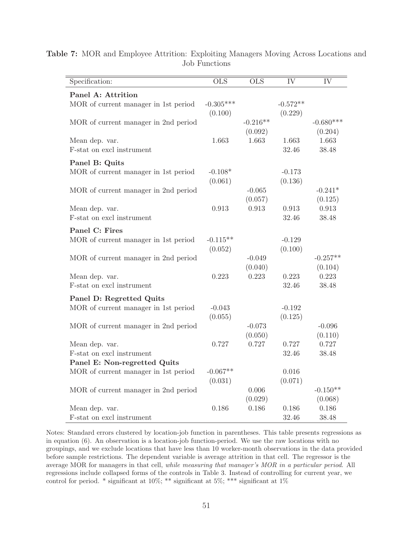| Specification:                       | $\overline{\text{OLS}}$ | $\overline{\text{OLS}}$ | IV         | IV          |
|--------------------------------------|-------------------------|-------------------------|------------|-------------|
| Panel A: Attrition                   |                         |                         |            |             |
| MOR of current manager in 1st period | $-0.305***$             |                         | $-0.572**$ |             |
|                                      | (0.100)                 |                         | (0.229)    |             |
| MOR of current manager in 2nd period |                         | $-0.216**$              |            | $-0.680***$ |
|                                      |                         | (0.092)                 |            | (0.204)     |
| Mean dep. var.                       | 1.663                   | 1.663                   | 1.663      | 1.663       |
| F-stat on excl instrument            |                         |                         | 32.46      | 38.48       |
| Panel B: Quits                       |                         |                         |            |             |
| MOR of current manager in 1st period | $-0.108*$               |                         | $-0.173$   |             |
|                                      | (0.061)                 |                         | (0.136)    |             |
| MOR of current manager in 2nd period |                         | $-0.065$                |            | $-0.241*$   |
|                                      |                         | (0.057)                 |            | (0.125)     |
| Mean dep. var.                       | 0.913                   | 0.913                   | 0.913      | 0.913       |
| F-stat on excl instrument            |                         |                         | 32.46      | 38.48       |
| Panel C: Fires                       |                         |                         |            |             |
| MOR of current manager in 1st period | $-0.115**$              |                         | $-0.129$   |             |
|                                      | (0.052)                 |                         | (0.100)    |             |
| MOR of current manager in 2nd period |                         | $-0.049$                |            | $-0.257**$  |
|                                      |                         | (0.040)                 |            | (0.104)     |
| Mean dep. var.                       | 0.223                   | 0.223                   | 0.223      | 0.223       |
| F-stat on excl instrument            |                         |                         | 32.46      | 38.48       |
| Panel D: Regretted Quits             |                         |                         |            |             |
| MOR of current manager in 1st period | $-0.043$                |                         | $-0.192$   |             |
|                                      | (0.055)                 |                         | (0.125)    |             |
| MOR of current manager in 2nd period |                         | $-0.073$                |            | $-0.096$    |
|                                      |                         | (0.050)                 |            | (0.110)     |
| Mean dep. var.                       | 0.727                   | 0.727                   | 0.727      | 0.727       |
| F-stat on excl instrument            |                         |                         | 32.46      | 38.48       |
| Panel E: Non-regretted Quits         |                         |                         |            |             |
| MOR of current manager in 1st period | $-0.067**$              |                         | 0.016      |             |
|                                      | (0.031)                 |                         | (0.071)    |             |
| MOR of current manager in 2nd period |                         | 0.006                   |            | $-0.150**$  |
|                                      |                         | (0.029)                 |            | (0.068)     |
| Mean dep. var.                       | 0.186                   | 0.186                   | 0.186      | 0.186       |
| F-stat on excl instrument            |                         |                         | 32.46      | 38.48       |

**Table 7:** MOR and Employee Attrition: Exploiting Managers Moving Across Locations and Job Functions

Notes: Standard errors clustered by location-job function in parentheses. This table presents regressions as in equation (6). An observation is a location-job function-period. We use the raw locations with no groupings, and we exclude locations that have less than 10 worker-month observations in the data provided before sample restrictions. The dependent variable is average attrition in that cell. The regressor is the average MOR for managers in that cell, while measuring that manager's MOR in a particular period. All regressions include collapsed forms of the controls in Table 3. Instead of controlling for current year, we control for period. \* significant at  $10\%$ ; \*\* significant at  $5\%$ ; \*\*\* significant at  $1\%$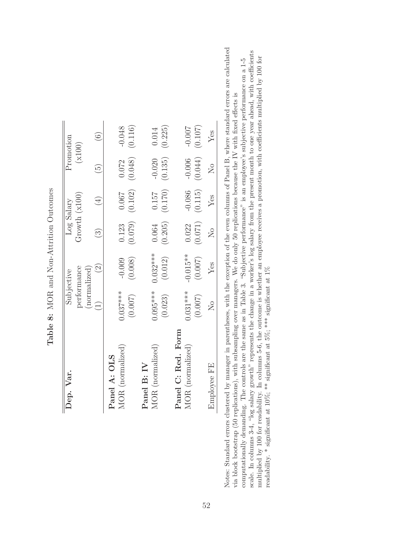| Growth $(x100)$<br>Log Salary<br>(0.079)<br>(0.071)<br>(0.205)<br>0.123<br>0.064<br>0.022<br>$\widehat{\mathbb{C}}$<br>$0.032***$<br>$-0.015**$<br>(0.012)<br>(0.007)<br>(0.008)<br>$-0.009$<br>$\widehat{S}$<br>performance<br>(normalized)<br>Subjective<br>$0.095***$<br>$0.031***$<br>$0.037***$<br>(0.007)<br>(0.007)<br>(0.023)<br>$\widetilde{\mathcal{F}}$<br>Panel C: Red. Form<br>MOR (normalized)<br>MOR (normalized)<br>MOR (normalized)<br>Panel A: OLS<br>Panel B: IV<br>Dep. Var |             |                     |     |                         |          |                          |                   |
|-------------------------------------------------------------------------------------------------------------------------------------------------------------------------------------------------------------------------------------------------------------------------------------------------------------------------------------------------------------------------------------------------------------------------------------------------------------------------------------------------|-------------|---------------------|-----|-------------------------|----------|--------------------------|-------------------|
|                                                                                                                                                                                                                                                                                                                                                                                                                                                                                                 |             |                     |     |                         |          |                          | Promotion         |
|                                                                                                                                                                                                                                                                                                                                                                                                                                                                                                 |             |                     |     |                         |          |                          | (x100)            |
|                                                                                                                                                                                                                                                                                                                                                                                                                                                                                                 |             |                     |     |                         |          |                          |                   |
|                                                                                                                                                                                                                                                                                                                                                                                                                                                                                                 |             |                     |     |                         | $(\pm)$  | $\widetilde{\mathbb{G}}$ | $\widehat{\odot}$ |
|                                                                                                                                                                                                                                                                                                                                                                                                                                                                                                 |             |                     |     |                         |          |                          |                   |
|                                                                                                                                                                                                                                                                                                                                                                                                                                                                                                 |             |                     |     |                         | 0.067    | 0.072                    | $-0.048$          |
|                                                                                                                                                                                                                                                                                                                                                                                                                                                                                                 |             |                     |     |                         | (0.102)  | (0.048)                  | (0.116)           |
|                                                                                                                                                                                                                                                                                                                                                                                                                                                                                                 |             |                     |     |                         |          |                          |                   |
|                                                                                                                                                                                                                                                                                                                                                                                                                                                                                                 |             |                     |     |                         | 0.157    | $-0.020$                 | 0.014             |
|                                                                                                                                                                                                                                                                                                                                                                                                                                                                                                 |             |                     |     |                         | (0.170)  | (0.135)                  | (0.225)           |
|                                                                                                                                                                                                                                                                                                                                                                                                                                                                                                 |             |                     |     |                         |          |                          |                   |
|                                                                                                                                                                                                                                                                                                                                                                                                                                                                                                 |             |                     |     |                         | $-0.086$ | $-0.006$                 | $-0.007$          |
|                                                                                                                                                                                                                                                                                                                                                                                                                                                                                                 |             |                     |     |                         | (0.115)  | (0.044)                  | (0.107)           |
|                                                                                                                                                                                                                                                                                                                                                                                                                                                                                                 | Employee FE | $\overline{\Sigma}$ | Yes | $\overline{\mathsf{X}}$ | Yes      | $\overline{\aleph}$      | Yes               |

Table 8: MOR and Non-Attrition Outcomes **Table 8:** MOR and Non-Attrition Outcomes

Notes: Standard errors clustered by manager in parentheses, with the exception of the even columns of Panel B, where standard errors are calculated Notes: Standard errors clustered by manager in parentheses, with the exception of the even columns of Panel B, where standard errors are calculated scale. In columns 3-4, "log salary growth" represents the change in a worker's log salary from the present month to one year ahead, with coefficients multiplied by 100 for readability. In columns 5-6, the outcome is wheth scale. In columns 3-4, "log salary growth" represents the change in a worker's log salary from the present month to one year ahead, with coefficients computationally demanding. The controls are the same as in Table 3. "Subjective performance" is an employee's subjective performance on a 1-5 multiplied by 100 for readability. In columns 5-6, the outcome is whether an employee receives a promotion, with coefficients multiplied by 100 for computationally demanding. The controls are the same as in Table 3. "Subjective performance" is an employee's subjective performance on a 1-5 via block bootstrap (50 replications), with subsampling over managers. We do only 50 replications because the IV with fixed effects is via block bootstrap (50 replications), with subsampling over managers. We do only 50 replications because the IV with fixed effects is readability. \* significant at 10%; \*\* significant at 5%; \*\*\* significant at 1%